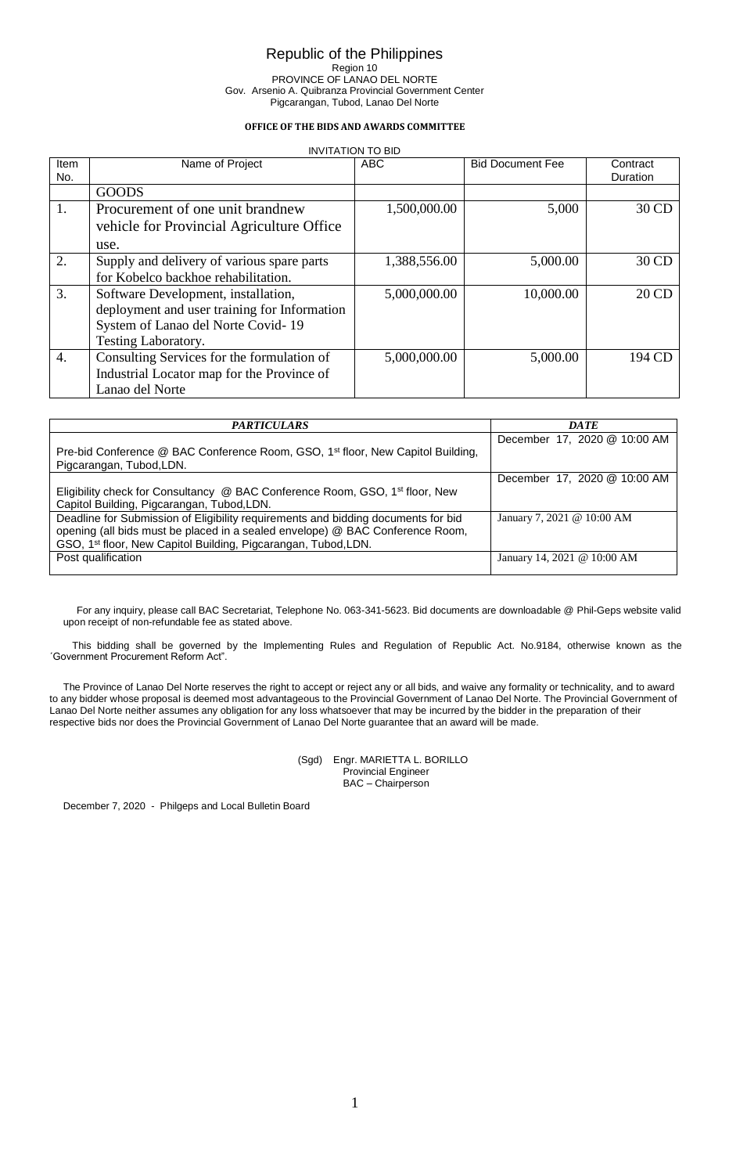## **OFFICE OF THE BIDS AND AWARDS COMMITTEE**

|                  | <b>INVITATION TO BID</b>                     |              |                         |                      |  |  |  |
|------------------|----------------------------------------------|--------------|-------------------------|----------------------|--|--|--|
| Item<br>No.      | Name of Project                              | <b>ABC</b>   | <b>Bid Document Fee</b> | Contract<br>Duration |  |  |  |
|                  | <b>GOODS</b>                                 |              |                         |                      |  |  |  |
| 1.               | Procurement of one unit brandnew             | 1,500,000.00 | 5,000                   | 30 CD                |  |  |  |
|                  | vehicle for Provincial Agriculture Office    |              |                         |                      |  |  |  |
|                  | use.                                         |              |                         |                      |  |  |  |
| 2.               | Supply and delivery of various spare parts   | 1,388,556.00 | 5,000.00                | 30 CD                |  |  |  |
|                  | for Kobelco backhoe rehabilitation.          |              |                         |                      |  |  |  |
| 3.               | Software Development, installation,          | 5,000,000.00 | 10,000.00               | 20 CD                |  |  |  |
|                  | deployment and user training for Information |              |                         |                      |  |  |  |
|                  | System of Lanao del Norte Covid-19           |              |                         |                      |  |  |  |
|                  | Testing Laboratory.                          |              |                         |                      |  |  |  |
| $\overline{4}$ . | Consulting Services for the formulation of   | 5,000,000.00 | 5,000.00                | 194 CD               |  |  |  |
|                  | Industrial Locator map for the Province of   |              |                         |                      |  |  |  |
|                  | Lanao del Norte                              |              |                         |                      |  |  |  |

| <i><b>PARTICULARS</b></i>                                                                                               | DATE                         |
|-------------------------------------------------------------------------------------------------------------------------|------------------------------|
|                                                                                                                         | December 17, 2020 @ 10:00 AM |
| Pre-bid Conference @ BAC Conference Room, GSO, 1 <sup>st</sup> floor, New Capitol Building,<br>Pigcarangan, Tubod, LDN. |                              |
|                                                                                                                         | December 17, 2020 @ 10:00 AM |
| Eligibility check for Consultancy @ BAC Conference Room, GSO, 1 <sup>st</sup> floor, New                                |                              |
| Capitol Building, Pigcarangan, Tubod, LDN.                                                                              |                              |
| Deadline for Submission of Eligibility requirements and bidding documents for bid                                       | January 7, 2021 @ 10:00 AM   |
| opening (all bids must be placed in a sealed envelope) @ BAC Conference Room,                                           |                              |
| GSO, 1 <sup>st</sup> floor, New Capitol Building, Pigcarangan, Tubod, LDN.                                              |                              |
| Post qualification                                                                                                      | January 14, 2021 @ 10:00 AM  |
|                                                                                                                         |                              |

For any inquiry, please call BAC Secretariat, Telephone No. 063-341-5623. Bid documents are downloadable @ Phil-Geps website valid upon receipt of non-refundable fee as stated above.

This bidding shall be governed by the Implementing Rules and Regulation of Republic Act. No.9184, otherwise known as the ´Government Procurement Reform Act".

The Province of Lanao Del Norte reserves the right to accept or reject any or all bids, and waive any formality or technicality, and to award to any bidder whose proposal is deemed most advantageous to the Provincial Government of Lanao Del Norte. The Provincial Government of Lanao Del Norte neither assumes any obligation for any loss whatsoever that may be incurred by the bidder in the preparation of their respective bids nor does the Provincial Government of Lanao Del Norte guarantee that an award will be made.

#### (Sgd) Engr. MARIETTA L. BORILLO Provincial Engineer BAC – Chairperson

December 7, 2020 - Philgeps and Local Bulletin Board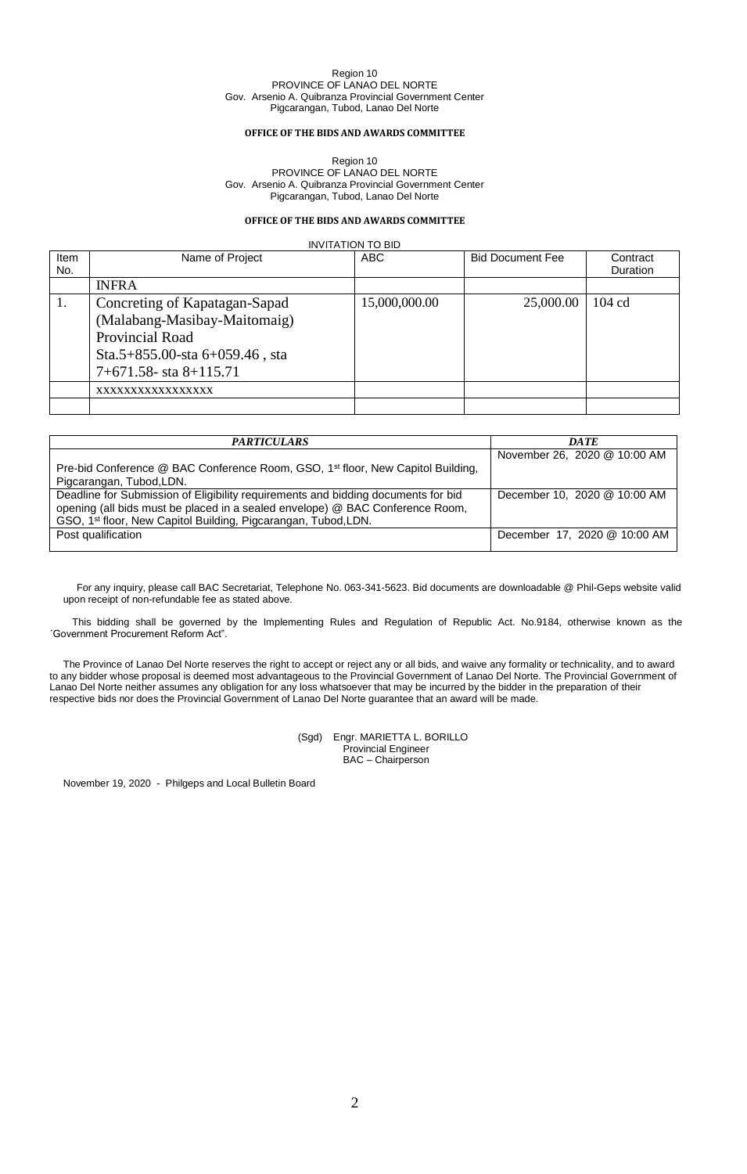### **OFFICE OF THE BIDS AND AWARDS COMMITTEE**

Region 10 PROVINCE OF LANAO DEL NORTE Gov. Arsenio A. Quibranza Provincial Government Center Pigcarangan, Tubod, Lanao Del Norte

## **OFFICE OF THE BIDS AND AWARDS COMMITTEE**

INVITATION TO BID

| Item<br>No. | Name of Project                                                                                                                                      | <b>ABC</b>    | <b>Bid Document Fee</b> | Contract<br>Duration |
|-------------|------------------------------------------------------------------------------------------------------------------------------------------------------|---------------|-------------------------|----------------------|
|             | <b>INFRA</b>                                                                                                                                         |               |                         |                      |
| 1.          | Concreting of Kapatagan-Sapad<br>(Malabang-Masibay-Maitomaig)<br>Provincial Road<br>Sta.5+855.00-sta $6+059.46$ , sta<br>$7+671.58$ - sta $8+115.71$ | 15,000,000.00 | 25,000.00               | $104 \text{ cd}$     |
|             | XXXXXXXXXXXXXXXX                                                                                                                                     |               |                         |                      |
|             |                                                                                                                                                      |               |                         |                      |

| <i><b>PARTICULARS</b></i>                                                                   | <b>DATE</b>                  |
|---------------------------------------------------------------------------------------------|------------------------------|
|                                                                                             | November 26, 2020 @ 10:00 AM |
| Pre-bid Conference @ BAC Conference Room, GSO, 1 <sup>st</sup> floor, New Capitol Building, |                              |
| Pigcarangan, Tubod, LDN.                                                                    |                              |
| Deadline for Submission of Eligibility requirements and bidding documents for bid           | December 10, 2020 @ 10:00 AM |
| opening (all bids must be placed in a sealed envelope) @ BAC Conference Room,               |                              |
| GSO, 1 <sup>st</sup> floor, New Capitol Building, Pigcarangan, Tubod, LDN.                  |                              |
| Post qualification                                                                          | December 17, 2020 @ 10:00 AM |
|                                                                                             |                              |

For any inquiry, please call BAC Secretariat, Telephone No. 063-341-5623. Bid documents are downloadable @ Phil-Geps website valid upon receipt of non-refundable fee as stated above.

This bidding shall be governed by the Implementing Rules and Regulation of Republic Act. No.9184, otherwise known as the ´Government Procurement Reform Act".

The Province of Lanao Del Norte reserves the right to accept or reject any or all bids, and waive any formality or technicality, and to award to any bidder whose proposal is deemed most advantageous to the Provincial Government of Lanao Del Norte. The Provincial Government of Lanao Del Norte neither assumes any obligation for any loss whatsoever that may be incurred by the bidder in the preparation of their respective bids nor does the Provincial Government of Lanao Del Norte guarantee that an award will be made.

> (Sgd) Engr. MARIETTA L. BORILLO Provincial Engineer BAC – Chairperson

November 19, 2020 - Philgeps and Local Bulletin Board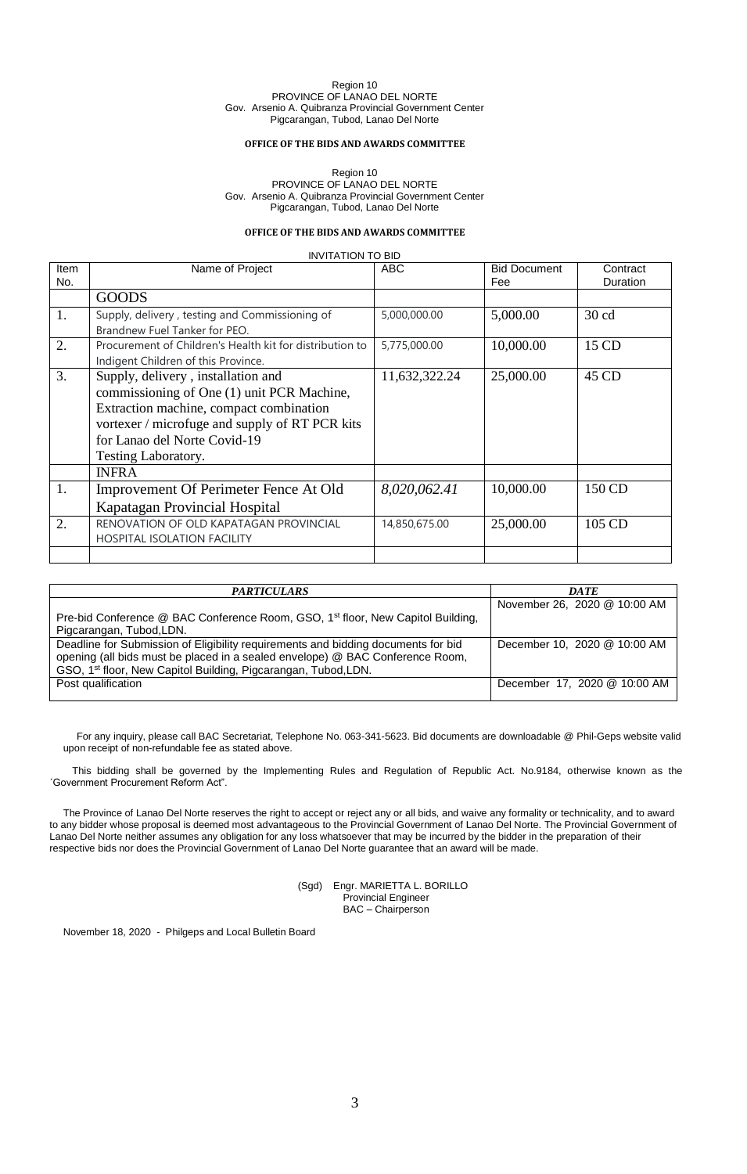## **OFFICE OF THE BIDS AND AWARDS COMMITTEE**

Region 10 PROVINCE OF LANAO DEL NORTE Gov. Arsenio A. Quibranza Provincial Government Center Pigcarangan, Tubod, Lanao Del Norte

## **OFFICE OF THE BIDS AND AWARDS COMMITTEE**

INVITATION TO BID

| Item | Name of Project                                                                                                                                                                                                                      | <b>ABC</b>    | <b>Bid Document</b> | Contract         |
|------|--------------------------------------------------------------------------------------------------------------------------------------------------------------------------------------------------------------------------------------|---------------|---------------------|------------------|
| No.  |                                                                                                                                                                                                                                      |               | Fee                 | Duration         |
|      | <b>GOODS</b>                                                                                                                                                                                                                         |               |                     |                  |
| 1.   | Supply, delivery, testing and Commissioning of<br>Brandnew Fuel Tanker for PEO.                                                                                                                                                      | 5,000,000.00  | 5,000.00            | 30 <sub>cd</sub> |
| 2.   | Procurement of Children's Health kit for distribution to<br>Indigent Children of this Province.                                                                                                                                      | 5,775,000.00  | 10,000.00           | 15 CD            |
| 3.   | Supply, delivery, installation and<br>commissioning of One (1) unit PCR Machine,<br>Extraction machine, compact combination<br>vortexer / microfuge and supply of RT PCR kits<br>for Lanao del Norte Covid-19<br>Testing Laboratory. | 11,632,322.24 | 25,000.00           | 45 CD            |
|      | <b>INFRA</b>                                                                                                                                                                                                                         |               |                     |                  |
| 1.   | Improvement Of Perimeter Fence At Old<br>Kapatagan Provincial Hospital                                                                                                                                                               | 8,020,062.41  | 10,000.00           | 150 CD           |
| 2.   | RENOVATION OF OLD KAPATAGAN PROVINCIAL<br><b>HOSPITAL ISOLATION FACILITY</b>                                                                                                                                                         | 14,850,675.00 | 25,000.00           | 105 CD           |
|      |                                                                                                                                                                                                                                      |               |                     |                  |

| <b>PARTICULARS</b>                                                                                                                                                                                                                               | <b>DATE</b>                  |
|--------------------------------------------------------------------------------------------------------------------------------------------------------------------------------------------------------------------------------------------------|------------------------------|
| Pre-bid Conference @ BAC Conference Room, GSO, 1 <sup>st</sup> floor, New Capitol Building,<br>Pigcarangan, Tubod, LDN.                                                                                                                          | November 26, 2020 @ 10:00 AM |
| Deadline for Submission of Eligibility requirements and bidding documents for bid<br>opening (all bids must be placed in a sealed envelope) @ BAC Conference Room,<br>GSO, 1 <sup>st</sup> floor, New Capitol Building, Pigcarangan, Tubod, LDN. | December 10, 2020 @ 10:00 AM |
| Post qualification                                                                                                                                                                                                                               | December 17, 2020 @ 10:00 AM |

For any inquiry, please call BAC Secretariat, Telephone No. 063-341-5623. Bid documents are downloadable @ Phil-Geps website valid upon receipt of non-refundable fee as stated above.

This bidding shall be governed by the Implementing Rules and Regulation of Republic Act. No.9184, otherwise known as the ´Government Procurement Reform Act".

The Province of Lanao Del Norte reserves the right to accept or reject any or all bids, and waive any formality or technicality, and to award to any bidder whose proposal is deemed most advantageous to the Provincial Government of Lanao Del Norte. The Provincial Government of Lanao Del Norte neither assumes any obligation for any loss whatsoever that may be incurred by the bidder in the preparation of their respective bids nor does the Provincial Government of Lanao Del Norte guarantee that an award will be made.

> (Sgd) Engr. MARIETTA L. BORILLO Provincial Engineer BAC – Chairperson

November 18, 2020 - Philgeps and Local Bulletin Board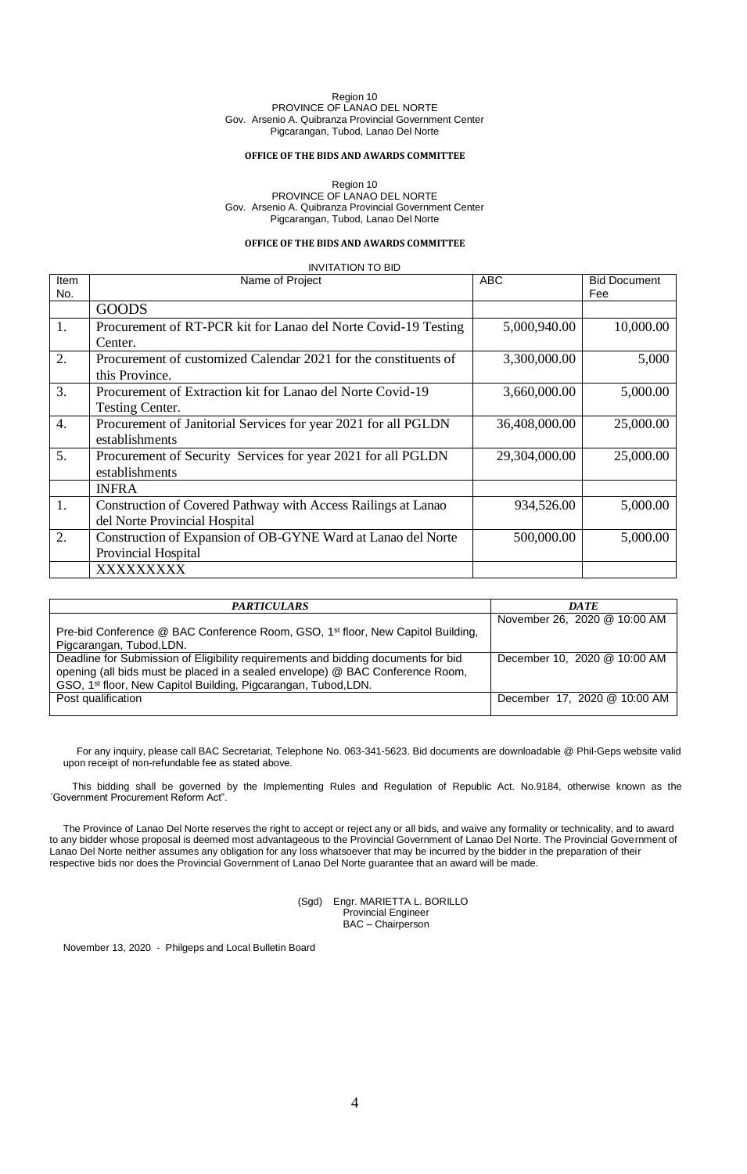#### **OFFICE OF THE BIDS AND AWARDS COMMITTEE**

Region 10 PROVINCE OF LANAO DEL NORTE Gov. Arsenio A. Quibranza Provincial Government Center Pigcarangan, Tubod, Lanao Del Norte

## **OFFICE OF THE BIDS AND AWARDS COMMITTEE**

INVITATION TO BID Item No. Name of Project ABC Bid Document Fee GOODS 1. Procurement of RT-PCR kit for Lanao del Norte Covid-19 Testing Center. 5,000,940.00 10,000.00 2. Procurement of customized Calendar 2021 for the constituents of this Province. 3,300,000.00 5,000 3. Procurement of Extraction kit for Lanao del Norte Covid-19 Testing Center. 3,660,000.00 5,000.00 4. Procurement of Janitorial Services for year 2021 for all PGLDN establishments 36,408,000.00 25,000.00 5. Procurement of Security Services for year 2021 for all PGLDN establishments 29,304,000.00 25,000.00 INFRA 1. Construction of Covered Pathway with Access Railings at Lanao del Norte Provincial Hospital 934,526.00 5,000.00 2. Construction of Expansion of OB-GYNE Ward at Lanao del Norte Provincial Hospital 500,000.00 5,000.00 XXXXXXXXX

| <b>PARTICULARS</b>                                                                          | <b>DATE</b>                  |
|---------------------------------------------------------------------------------------------|------------------------------|
|                                                                                             | November 26, 2020 @ 10:00 AM |
| Pre-bid Conference @ BAC Conference Room, GSO, 1 <sup>st</sup> floor, New Capitol Building, |                              |
| Pigcarangan, Tubod, LDN.                                                                    |                              |
| Deadline for Submission of Eligibility requirements and bidding documents for bid           | December 10, 2020 @ 10:00 AM |
| opening (all bids must be placed in a sealed envelope) @ BAC Conference Room,               |                              |
| GSO, 1 <sup>st</sup> floor, New Capitol Building, Pigcarangan, Tubod, LDN.                  |                              |
| Post qualification                                                                          | December 17, 2020 @ 10:00 AM |
|                                                                                             |                              |

For any inquiry, please call BAC Secretariat, Telephone No. 063-341-5623. Bid documents are downloadable @ Phil-Geps website valid upon receipt of non-refundable fee as stated above.

This bidding shall be governed by the Implementing Rules and Regulation of Republic Act. No.9184, otherwise known as the ´Government Procurement Reform Act".

The Province of Lanao Del Norte reserves the right to accept or reject any or all bids, and waive any formality or technicality, and to award to any bidder whose proposal is deemed most advantageous to the Provincial Government of Lanao Del Norte. The Provincial Government of Lanao Del Norte neither assumes any obligation for any loss whatsoever that may be incurred by the bidder in the preparation of their respective bids nor does the Provincial Government of Lanao Del Norte guarantee that an award will be made.

> (Sgd) Engr. MARIETTA L. BORILLO Provincial Engineer BAC – Chairperson

November 13, 2020 - Philgeps and Local Bulletin Board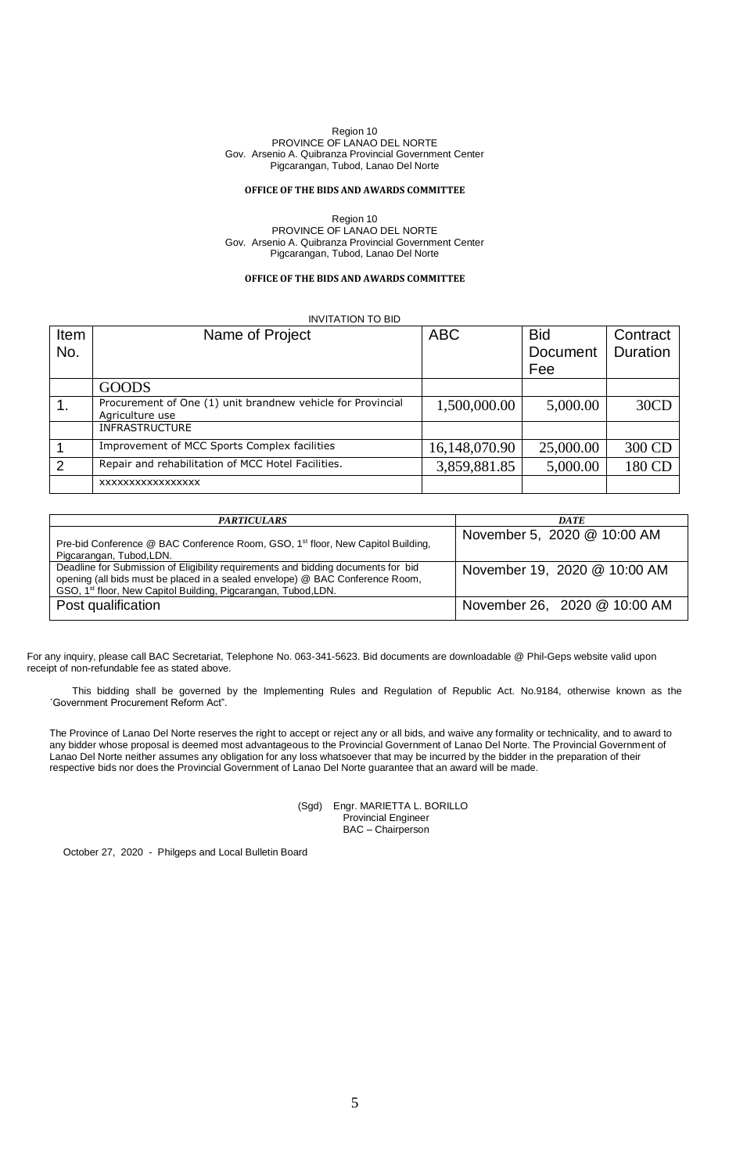## **OFFICE OF THE BIDS AND AWARDS COMMITTEE**

Region 10 PROVINCE OF LANAO DEL NORTE Gov. Arsenio A. Quibranza Provincial Government Center Pigcarangan, Tubod, Lanao Del Norte

## **OFFICE OF THE BIDS AND AWARDS COMMITTEE**

INVITATION TO BID

| Item | Name of Project                                                                | ABC           | <b>Bid</b> | Contract |
|------|--------------------------------------------------------------------------------|---------------|------------|----------|
| No.  |                                                                                |               | Document   | Duration |
|      |                                                                                |               | Fee        |          |
|      | <b>GOODS</b>                                                                   |               |            |          |
|      | Procurement of One (1) unit brandnew vehicle for Provincial<br>Agriculture use | 1,500,000.00  | 5,000.00   | 30CD     |
|      | <b>INFRASTRUCTURE</b>                                                          |               |            |          |
|      | Improvement of MCC Sports Complex facilities                                   | 16,148,070.90 | 25,000.00  | 300 CD   |
| 2    | Repair and rehabilitation of MCC Hotel Facilities.                             | 3,859,881.85  | 5,000.00   | 180 CD   |
|      | XXXXXXXXXXXXXXXX                                                               |               |            |          |

| <b>PARTICULARS</b>                                                                                                                                                                                                                               | <b>DATE</b>                  |
|--------------------------------------------------------------------------------------------------------------------------------------------------------------------------------------------------------------------------------------------------|------------------------------|
| Pre-bid Conference @ BAC Conference Room, GSO, 1 <sup>st</sup> floor, New Capitol Building,<br>Pigcarangan, Tubod, LDN.                                                                                                                          | November 5, 2020 @ 10:00 AM  |
| Deadline for Submission of Eligibility requirements and bidding documents for bid<br>opening (all bids must be placed in a sealed envelope) @ BAC Conference Room,<br>GSO, 1 <sup>st</sup> floor, New Capitol Building, Pigcarangan, Tubod, LDN. | November 19, 2020 @ 10:00 AM |
| Post qualification                                                                                                                                                                                                                               | November 26, 2020 @ 10:00 AM |

For any inquiry, please call BAC Secretariat, Telephone No. 063-341-5623. Bid documents are downloadable @ Phil-Geps website valid upon receipt of non-refundable fee as stated above.

This bidding shall be governed by the Implementing Rules and Regulation of Republic Act. No.9184, otherwise known as the ´Government Procurement Reform Act".

The Province of Lanao Del Norte reserves the right to accept or reject any or all bids, and waive any formality or technicality, and to award to any bidder whose proposal is deemed most advantageous to the Provincial Government of Lanao Del Norte. The Provincial Government of Lanao Del Norte neither assumes any obligation for any loss whatsoever that may be incurred by the bidder in the preparation of their respective bids nor does the Provincial Government of Lanao Del Norte guarantee that an award will be made.

> (Sgd) Engr. MARIETTA L. BORILLO Provincial Engineer BAC – Chairperson

October 27, 2020 - Philgeps and Local Bulletin Board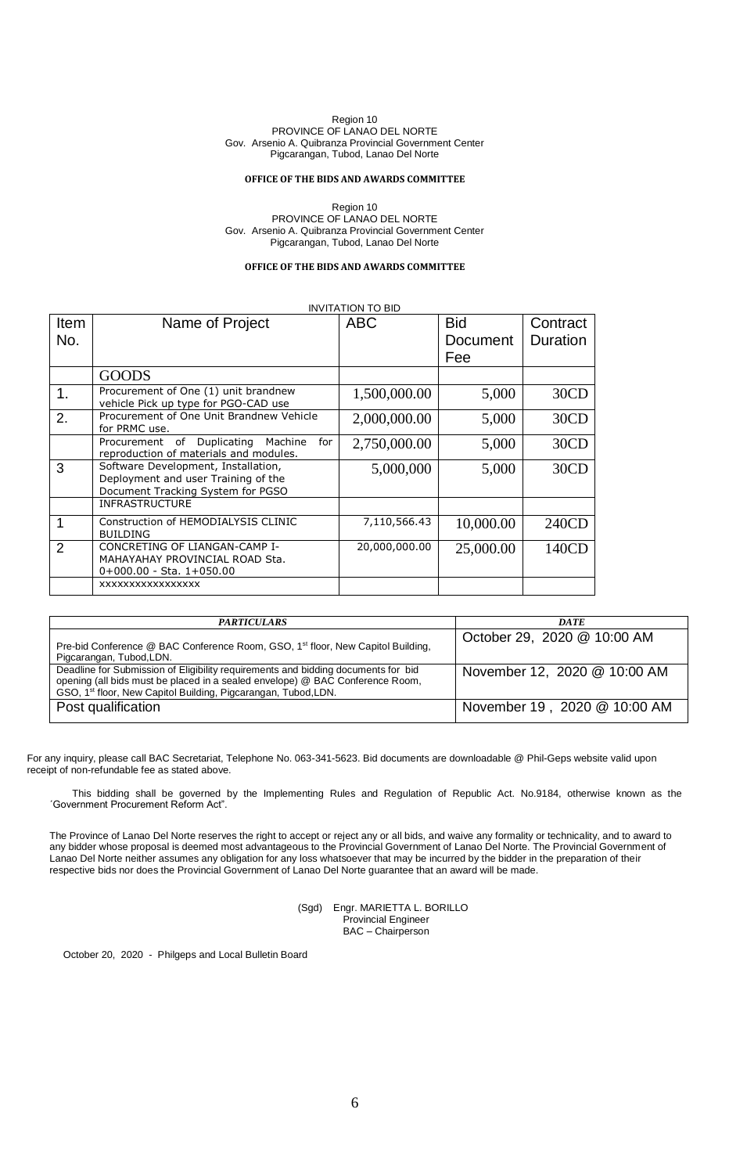#### **OFFICE OF THE BIDS AND AWARDS COMMITTEE**

Region 10 PROVINCE OF LANAO DEL NORTE Gov. Arsenio A. Quibranza Provincial Government Center Pigcarangan, Tubod, Lanao Del Norte

## **OFFICE OF THE BIDS AND AWARDS COMMITTEE**

|               |                                                                                     | <b>INVITATION TO BID</b> |            |          |
|---------------|-------------------------------------------------------------------------------------|--------------------------|------------|----------|
| <b>Item</b>   | Name of Project                                                                     | <b>ABC</b>               | <b>Bid</b> | Contract |
| No.           |                                                                                     |                          | Document   | Duration |
|               |                                                                                     |                          | Fee        |          |
|               |                                                                                     |                          |            |          |
|               | <b>GOODS</b>                                                                        |                          |            |          |
| 1.            | Procurement of One (1) unit brandnew<br>vehicle Pick up type for PGO-CAD use        | 1,500,000.00             | 5,000      | 30CD     |
| 2.            | Procurement of One Unit Brandnew Vehicle<br>for PRMC use.                           | 2,000,000.00             | 5,000      | 30CD     |
|               | Procurement of Duplicating Machine<br>for<br>reproduction of materials and modules. | 2,750,000.00             | 5,000      | 30CD     |
| 3             | Software Development, Installation,                                                 | 5,000,000                | 5,000      | 30CD     |
|               | Deployment and user Training of the<br>Document Tracking System for PGSO            |                          |            |          |
|               | <b>INFRASTRUCTURE</b>                                                               |                          |            |          |
| 1             | Construction of HEMODIALYSIS CLINIC                                                 | 7,110,566.43             | 10,000.00  | 240CD    |
|               | <b>BUILDING</b>                                                                     |                          |            |          |
| $\mathcal{P}$ | CONCRETING OF LIANGAN-CAMP I-<br>MAHAYAHAY PROVINCIAL ROAD Sta.                     | 20,000,000.00            | 25,000.00  | 140CD    |
|               | $0+000.00 - Sta. 1+050.00$                                                          |                          |            |          |
|               | <b>XXXXXXXXXXXXXXXX</b>                                                             |                          |            |          |
|               |                                                                                     |                          |            |          |

| <b>PARTICULARS</b>                                                                                                                                                                                                                               | <b>DATE</b>                  |
|--------------------------------------------------------------------------------------------------------------------------------------------------------------------------------------------------------------------------------------------------|------------------------------|
| Pre-bid Conference @ BAC Conference Room, GSO, 1 <sup>st</sup> floor, New Capitol Building,<br>Pigcarangan, Tubod, LDN.                                                                                                                          | October 29, 2020 @ 10:00 AM  |
| Deadline for Submission of Eligibility requirements and bidding documents for bid<br>opening (all bids must be placed in a sealed envelope) @ BAC Conference Room,<br>GSO, 1 <sup>st</sup> floor, New Capitol Building, Pigcarangan, Tubod, LDN. | November 12, 2020 @ 10:00 AM |
| Post qualification                                                                                                                                                                                                                               | November 19, 2020 @ 10:00 AM |

For any inquiry, please call BAC Secretariat, Telephone No. 063-341-5623. Bid documents are downloadable @ Phil-Geps website valid upon receipt of non-refundable fee as stated above.

This bidding shall be governed by the Implementing Rules and Regulation of Republic Act. No.9184, otherwise known as the ´Government Procurement Reform Act".

The Province of Lanao Del Norte reserves the right to accept or reject any or all bids, and waive any formality or technicality, and to award to any bidder whose proposal is deemed most advantageous to the Provincial Government of Lanao Del Norte. The Provincial Government of Lanao Del Norte neither assumes any obligation for any loss whatsoever that may be incurred by the bidder in the preparation of their respective bids nor does the Provincial Government of Lanao Del Norte guarantee that an award will be made.

> (Sgd) Engr. MARIETTA L. BORILLO Provincial Engineer BAC – Chairperson

October 20, 2020 - Philgeps and Local Bulletin Board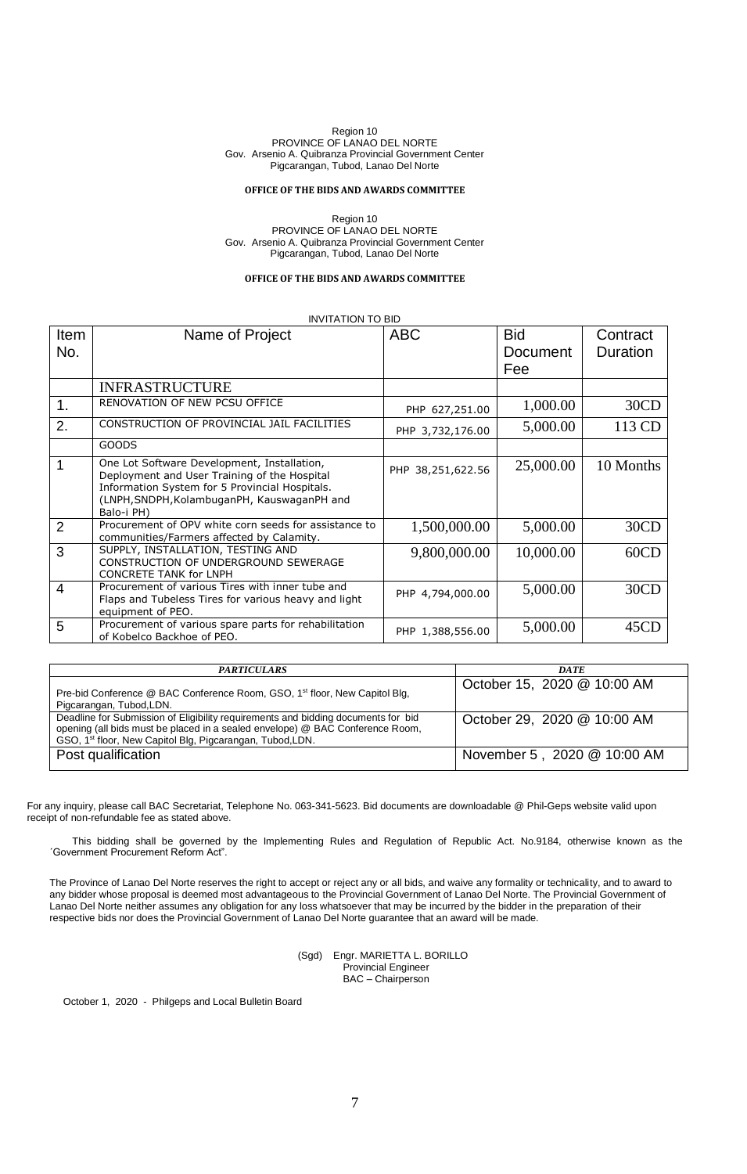## **OFFICE OF THE BIDS AND AWARDS COMMITTEE**

Region 10 PROVINCE OF LANAO DEL NORTE Gov. Arsenio A. Quibranza Provincial Government Center Pigcarangan, Tubod, Lanao Del Norte

## **OFFICE OF THE BIDS AND AWARDS COMMITTEE**

## INVITATION TO BID

| <b>Item</b><br>No. | Name of Project                                                                                                                                                                                            | <b>ABC</b>        | <b>Bid</b><br>Document<br>Fee | Contract<br>Duration |
|--------------------|------------------------------------------------------------------------------------------------------------------------------------------------------------------------------------------------------------|-------------------|-------------------------------|----------------------|
|                    | <b>INFRASTRUCTURE</b>                                                                                                                                                                                      |                   |                               |                      |
| $\mathbf 1$ .      | RENOVATION OF NEW PCSU OFFICE                                                                                                                                                                              | PHP 627,251.00    | 1,000.00                      | 30CD                 |
| 2.                 | CONSTRUCTION OF PROVINCIAL JAIL FACILITIES                                                                                                                                                                 | PHP 3,732,176.00  | 5,000.00                      | 113 CD               |
|                    | <b>GOODS</b>                                                                                                                                                                                               |                   |                               |                      |
| $\mathbf{1}$       | One Lot Software Development, Installation,<br>Deployment and User Training of the Hospital<br>Information System for 5 Provincial Hospitals.<br>(LNPH, SNDPH, KolambuganPH, KauswaganPH and<br>Balo-i PH) | PHP 38,251,622.56 | 25,000.00                     | 10 Months            |
| 2                  | Procurement of OPV white corn seeds for assistance to<br>communities/Farmers affected by Calamity.                                                                                                         | 1,500,000.00      | 5,000.00                      | 30CD                 |
| 3                  | SUPPLY, INSTALLATION, TESTING AND<br>CONSTRUCTION OF UNDERGROUND SEWERAGE<br><b>CONCRETE TANK for LNPH</b>                                                                                                 | 9,800,000.00      | 10,000.00                     | 60CD                 |
| $\overline{4}$     | Procurement of various Tires with inner tube and<br>Flaps and Tubeless Tires for various heavy and light<br>equipment of PEO.                                                                              | PHP 4,794,000.00  | 5,000.00                      | 30CD                 |
| 5                  | Procurement of various spare parts for rehabilitation<br>of Kobelco Backhoe of PEO.                                                                                                                        | PHP 1,388,556.00  | 5,000.00                      | 45CD                 |

| <b>PARTICULARS</b>                                                                                                                                                                                                                          | <b>DATE</b>                 |
|---------------------------------------------------------------------------------------------------------------------------------------------------------------------------------------------------------------------------------------------|-----------------------------|
| Pre-bid Conference @ BAC Conference Room, GSO, 1 <sup>st</sup> floor, New Capitol Blg,<br>Pigcarangan, Tubod, LDN.                                                                                                                          | October 15, 2020 @ 10:00 AM |
| Deadline for Submission of Eligibility requirements and bidding documents for bid<br>opening (all bids must be placed in a sealed envelope) @ BAC Conference Room,<br>GSO, 1 <sup>st</sup> floor, New Capitol Blg, Pigcarangan, Tubod, LDN. | October 29, 2020 @ 10:00 AM |
| Post qualification                                                                                                                                                                                                                          | November 5, 2020 @ 10:00 AM |

For any inquiry, please call BAC Secretariat, Telephone No. 063-341-5623. Bid documents are downloadable @ Phil-Geps website valid upon receipt of non-refundable fee as stated above.

This bidding shall be governed by the Implementing Rules and Regulation of Republic Act. No.9184, otherwise known as the ´Government Procurement Reform Act".

The Province of Lanao Del Norte reserves the right to accept or reject any or all bids, and waive any formality or technicality, and to award to any bidder whose proposal is deemed most advantageous to the Provincial Government of Lanao Del Norte. The Provincial Government of Lanao Del Norte neither assumes any obligation for any loss whatsoever that may be incurred by the bidder in the preparation of their respective bids nor does the Provincial Government of Lanao Del Norte guarantee that an award will be made.

#### (Sgd) Engr. MARIETTA L. BORILLO Provincial Engineer BAC – Chairperson

October 1, 2020 - Philgeps and Local Bulletin Board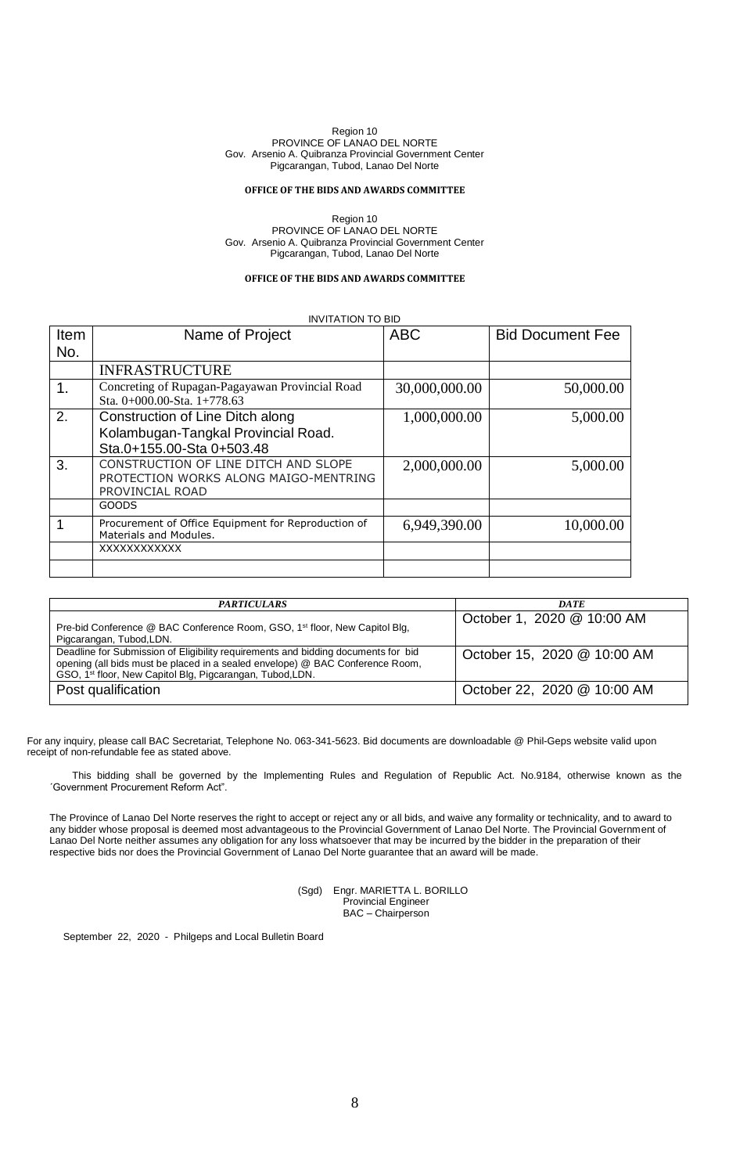## **OFFICE OF THE BIDS AND AWARDS COMMITTEE**

Region 10 PROVINCE OF LANAO DEL NORTE Gov. Arsenio A. Quibranza Provincial Government Center Pigcarangan, Tubod, Lanao Del Norte

### **OFFICE OF THE BIDS AND AWARDS COMMITTEE**

INVITATION TO BID

| Item | Name of Project                                                                                      | <b>ABC</b>    | <b>Bid Document Fee</b> |
|------|------------------------------------------------------------------------------------------------------|---------------|-------------------------|
| No.  |                                                                                                      |               |                         |
|      | <b>INFRASTRUCTURE</b>                                                                                |               |                         |
| 1.   | Concreting of Rupagan-Pagayawan Provincial Road<br>Sta. $0+000.00-S$ ta. $1+778.63$                  | 30,000,000.00 | 50,000.00               |
| 2.   | Construction of Line Ditch along<br>Kolambugan-Tangkal Provincial Road.<br>Sta.0+155.00-Sta 0+503.48 | 1,000,000.00  | 5,000.00                |
| 3.   | CONSTRUCTION OF LINE DITCH AND SLOPE<br>PROTECTION WORKS ALONG MAIGO-MENTRING<br>PROVINCIAL ROAD     | 2,000,000.00  | 5,000.00                |
|      | GOODS                                                                                                |               |                         |
|      | Procurement of Office Equipment for Reproduction of<br>Materials and Modules.                        | 6,949,390.00  | 10,000.00               |
|      | XXXXXXXXXXX                                                                                          |               |                         |

| <b>PARTICULARS</b>                                                                                                                                                                                                                          | <b>DATE</b>                 |
|---------------------------------------------------------------------------------------------------------------------------------------------------------------------------------------------------------------------------------------------|-----------------------------|
| Pre-bid Conference @ BAC Conference Room, GSO, 1 <sup>st</sup> floor, New Capitol Blg,<br>Pigcarangan, Tubod, LDN.                                                                                                                          | October 1, 2020 @ 10:00 AM  |
| Deadline for Submission of Eligibility requirements and bidding documents for bid<br>opening (all bids must be placed in a sealed envelope) @ BAC Conference Room,<br>GSO, 1 <sup>st</sup> floor, New Capitol Blg, Pigcarangan, Tubod, LDN. | October 15, 2020 @ 10:00 AM |
| Post qualification                                                                                                                                                                                                                          | October 22, 2020 @ 10:00 AM |

For any inquiry, please call BAC Secretariat, Telephone No. 063-341-5623. Bid documents are downloadable @ Phil-Geps website valid upon receipt of non-refundable fee as stated above.

This bidding shall be governed by the Implementing Rules and Regulation of Republic Act. No.9184, otherwise known as the ´Government Procurement Reform Act".

The Province of Lanao Del Norte reserves the right to accept or reject any or all bids, and waive any formality or technicality, and to award to any bidder whose proposal is deemed most advantageous to the Provincial Government of Lanao Del Norte. The Provincial Government of Lanao Del Norte neither assumes any obligation for any loss whatsoever that may be incurred by the bidder in the preparation of their respective bids nor does the Provincial Government of Lanao Del Norte guarantee that an award will be made.

> (Sgd) Engr. MARIETTA L. BORILLO Provincial Engineer BAC – Chairperson

September 22, 2020 - Philgeps and Local Bulletin Board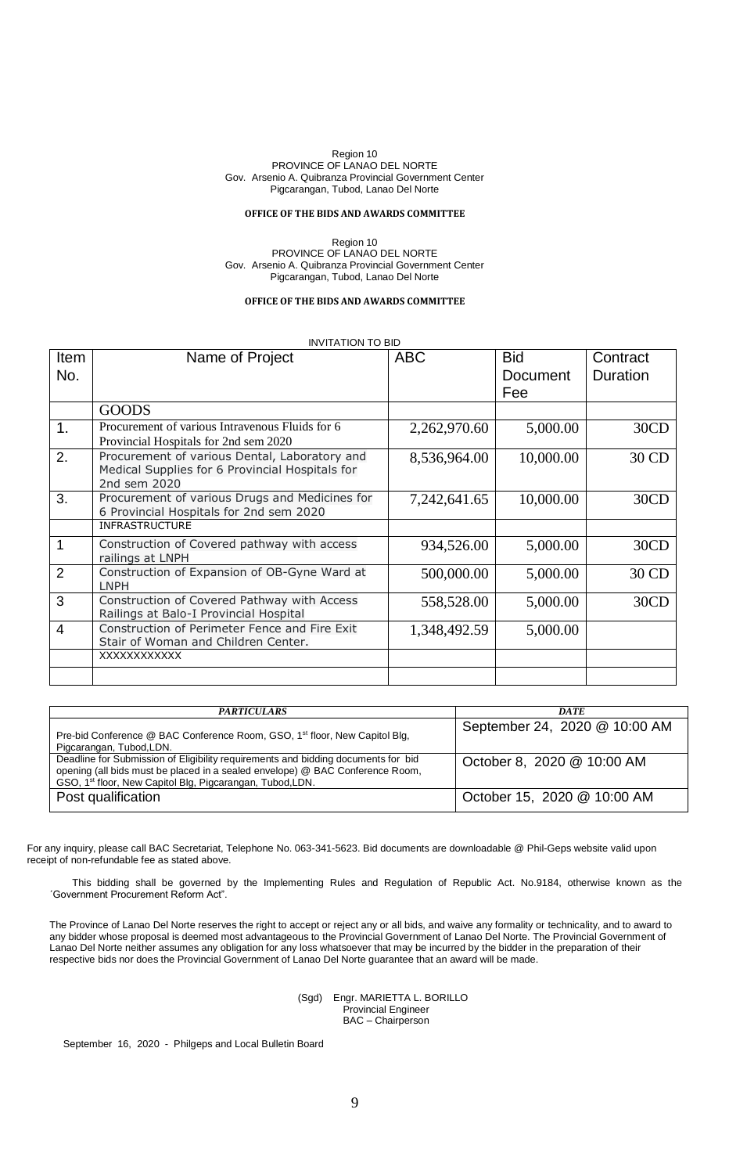#### **OFFICE OF THE BIDS AND AWARDS COMMITTEE**

Region 10 PROVINCE OF LANAO DEL NORTE Gov. Arsenio A. Quibranza Provincial Government Center Pigcarangan, Tubod, Lanao Del Norte

## **OFFICE OF THE BIDS AND AWARDS COMMITTEE**

## INVITATION TO BID

| Item<br>No.    | Name of Project                                                                                                  | <b>ABC</b>   | <b>Bid</b><br>Document | Contract<br>Duration |
|----------------|------------------------------------------------------------------------------------------------------------------|--------------|------------------------|----------------------|
|                |                                                                                                                  |              | Fee                    |                      |
|                | <b>GOODS</b>                                                                                                     |              |                        |                      |
| 1.             | Procurement of various Intravenous Fluids for 6<br>Provincial Hospitals for 2nd sem 2020                         | 2,262,970.60 | 5,000.00               | 30CD                 |
| 2.             | Procurement of various Dental, Laboratory and<br>Medical Supplies for 6 Provincial Hospitals for<br>2nd sem 2020 | 8,536,964.00 | 10,000.00              | 30 CD                |
| 3.             | Procurement of various Drugs and Medicines for<br>6 Provincial Hospitals for 2nd sem 2020                        | 7,242,641.65 | 10,000.00              | 30CD                 |
|                | <b>INFRASTRUCTURE</b>                                                                                            |              |                        |                      |
| $\overline{1}$ | Construction of Covered pathway with access<br>railings at LNPH                                                  | 934,526.00   | 5,000.00               | 30CD                 |
| $\overline{2}$ | Construction of Expansion of OB-Gyne Ward at<br>LNPH                                                             | 500,000.00   | 5,000.00               | 30 CD                |
| $\overline{3}$ | Construction of Covered Pathway with Access<br>Railings at Balo-I Provincial Hospital                            | 558,528.00   | 5,000.00               | 30CD                 |
| $\overline{4}$ | Construction of Perimeter Fence and Fire Exit<br>Stair of Woman and Children Center.                             | 1,348,492.59 | 5,000.00               |                      |
|                | XXXXXXXXXXX                                                                                                      |              |                        |                      |
|                |                                                                                                                  |              |                        |                      |

| <b>PARTICULARS</b>                                                                                                                                                                                                                          | <b>DATE</b>                   |
|---------------------------------------------------------------------------------------------------------------------------------------------------------------------------------------------------------------------------------------------|-------------------------------|
| Pre-bid Conference @ BAC Conference Room, GSO, 1 <sup>st</sup> floor, New Capitol Blg,<br>Pigcarangan, Tubod, LDN.                                                                                                                          | September 24, 2020 @ 10:00 AM |
| Deadline for Submission of Eligibility requirements and bidding documents for bid<br>opening (all bids must be placed in a sealed envelope) @ BAC Conference Room,<br>GSO, 1 <sup>st</sup> floor, New Capitol Blg, Pigcarangan, Tubod, LDN. | October 8, 2020 @ 10:00 AM    |
| Post qualification                                                                                                                                                                                                                          | October 15, 2020 @ 10:00 AM   |

For any inquiry, please call BAC Secretariat, Telephone No. 063-341-5623. Bid documents are downloadable @ Phil-Geps website valid upon receipt of non-refundable fee as stated above.

This bidding shall be governed by the Implementing Rules and Regulation of Republic Act. No.9184, otherwise known as the ´Government Procurement Reform Act".

The Province of Lanao Del Norte reserves the right to accept or reject any or all bids, and waive any formality or technicality, and to award to any bidder whose proposal is deemed most advantageous to the Provincial Government of Lanao Del Norte. The Provincial Government of Lanao Del Norte neither assumes any obligation for any loss whatsoever that may be incurred by the bidder in the preparation of their respective bids nor does the Provincial Government of Lanao Del Norte guarantee that an award will be made.

#### (Sgd) Engr. MARIETTA L. BORILLO Provincial Engineer BAC – Chairperson

September 16, 2020 - Philgeps and Local Bulletin Board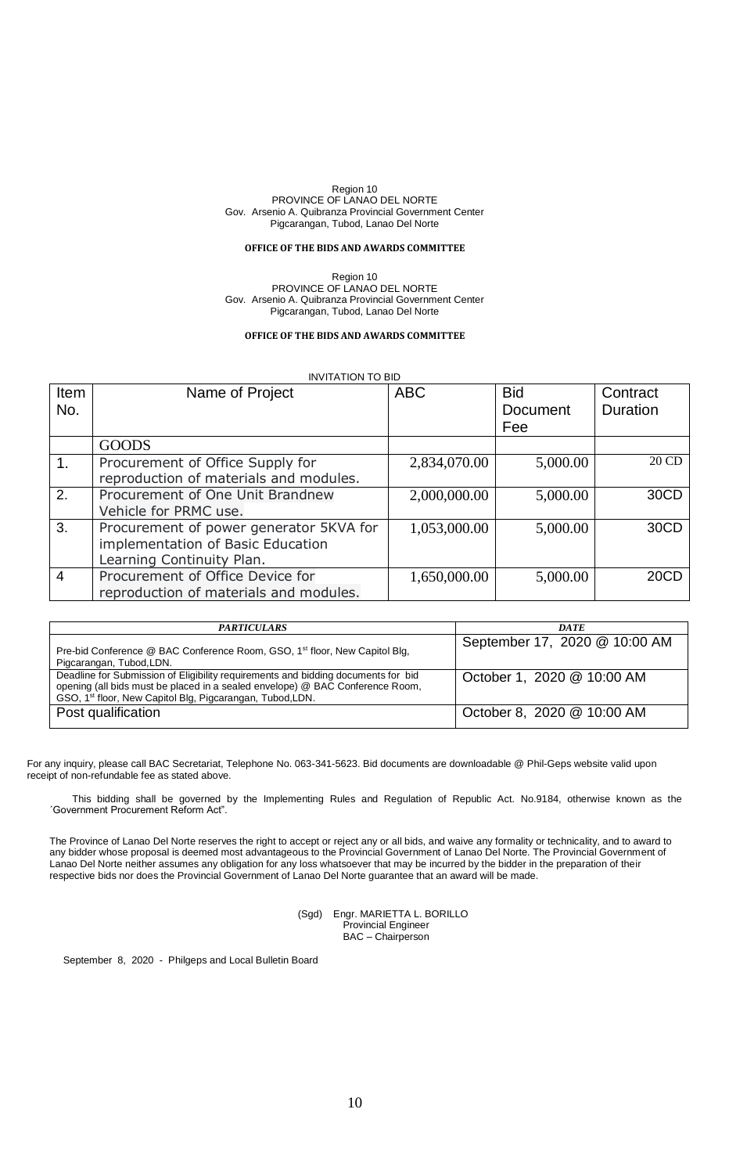## **OFFICE OF THE BIDS AND AWARDS COMMITTEE**

Region 10 PROVINCE OF LANAO DEL NORTE Gov. Arsenio A. Quibranza Provincial Government Center Pigcarangan, Tubod, Lanao Del Norte

#### **OFFICE OF THE BIDS AND AWARDS COMMITTEE**

|                | <b>INVITATION TO BID</b>                                                                                  |              |                               |                      |  |
|----------------|-----------------------------------------------------------------------------------------------------------|--------------|-------------------------------|----------------------|--|
| Item<br>No.    | Name of Project                                                                                           | <b>ABC</b>   | <b>Bid</b><br>Document<br>Fee | Contract<br>Duration |  |
|                | <b>GOODS</b>                                                                                              |              |                               |                      |  |
| 1.             | Procurement of Office Supply for<br>reproduction of materials and modules.                                | 2,834,070.00 | 5,000.00                      | 20 CD                |  |
| 2.             | Procurement of One Unit Brandnew<br>Vehicle for PRMC use.                                                 | 2,000,000.00 | 5,000.00                      | 30CD                 |  |
| 3.             | Procurement of power generator 5KVA for<br>implementation of Basic Education<br>Learning Continuity Plan. | 1,053,000.00 | 5,000.00                      | 30CD                 |  |
| $\overline{4}$ | Procurement of Office Device for<br>reproduction of materials and modules.                                | 1,650,000.00 | 5,000.00                      | 20CD                 |  |

| <b>PARTICULARS</b>                                                                                                                                                                                                                          | <b>DATE</b>                   |
|---------------------------------------------------------------------------------------------------------------------------------------------------------------------------------------------------------------------------------------------|-------------------------------|
| Pre-bid Conference @ BAC Conference Room, GSO, 1 <sup>st</sup> floor, New Capitol Blg,<br>Pigcarangan, Tubod, LDN.                                                                                                                          | September 17, 2020 @ 10:00 AM |
| Deadline for Submission of Eligibility requirements and bidding documents for bid<br>opening (all bids must be placed in a sealed envelope) @ BAC Conference Room,<br>GSO, 1 <sup>st</sup> floor, New Capitol Blg, Pigcarangan, Tubod, LDN. | October 1, 2020 @ 10:00 AM    |
| Post qualification                                                                                                                                                                                                                          | October 8, 2020 @ 10:00 AM    |

For any inquiry, please call BAC Secretariat, Telephone No. 063-341-5623. Bid documents are downloadable @ Phil-Geps website valid upon receipt of non-refundable fee as stated above.

This bidding shall be governed by the Implementing Rules and Regulation of Republic Act. No.9184, otherwise known as the ´Government Procurement Reform Act".

The Province of Lanao Del Norte reserves the right to accept or reject any or all bids, and waive any formality or technicality, and to award to any bidder whose proposal is deemed most advantageous to the Provincial Government of Lanao Del Norte. The Provincial Government of Lanao Del Norte neither assumes any obligation for any loss whatsoever that may be incurred by the bidder in the preparation of their respective bids nor does the Provincial Government of Lanao Del Norte guarantee that an award will be made.

> (Sgd) Engr. MARIETTA L. BORILLO Provincial Engineer BAC – Chairperson

September 8, 2020 - Philgeps and Local Bulletin Board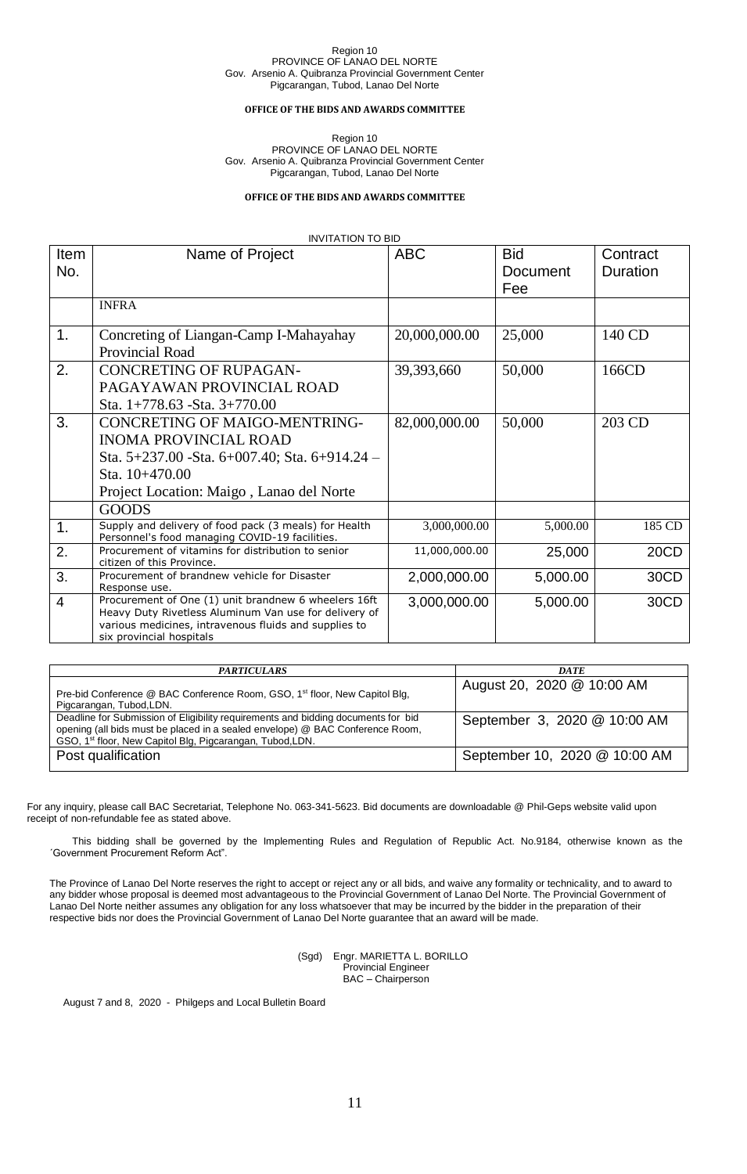### **OFFICE OF THE BIDS AND AWARDS COMMITTEE**

Region 10 PROVINCE OF LANAO DEL NORTE Gov. Arsenio A. Quibranza Provincial Government Center Pigcarangan, Tubod, Lanao Del Norte

## **OFFICE OF THE BIDS AND AWARDS COMMITTEE**

## INVITATION TO BID

| Item<br>No.    | Name of Project                                                                                                                                                                                    | <b>ABC</b>    | <b>Bid</b><br>Document | Contract<br>Duration |
|----------------|----------------------------------------------------------------------------------------------------------------------------------------------------------------------------------------------------|---------------|------------------------|----------------------|
|                |                                                                                                                                                                                                    |               | Fee                    |                      |
|                | <b>INFRA</b>                                                                                                                                                                                       |               |                        |                      |
| 1.             | Concreting of Liangan-Camp I-Mahayahay<br>Provincial Road                                                                                                                                          | 20,000,000.00 | 25,000                 | 140 CD               |
| 2.             | <b>CONCRETING OF RUPAGAN-</b><br>PAGAYAWAN PROVINCIAL ROAD<br>Sta. $1+778.63$ -Sta. $3+770.00$                                                                                                     | 39,393,660    | 50,000                 | 166CD                |
| 3.             | <b>CONCRETING OF MAIGO-MENTRING-</b><br><b>INOMA PROVINCIAL ROAD</b><br>Sta. 5+237.00 - Sta. 6+007.40; Sta. 6+914.24 -<br>Sta. 10+470.00<br>Project Location: Maigo, Lanao del Norte               | 82,000,000.00 | 50,000                 | 203 CD               |
|                | <b>GOODS</b>                                                                                                                                                                                       |               |                        |                      |
| 1.             | Supply and delivery of food pack (3 meals) for Health<br>Personnel's food managing COVID-19 facilities.                                                                                            | 3,000,000.00  | 5,000.00               | 185 CD               |
| 2.             | Procurement of vitamins for distribution to senior<br>citizen of this Province.                                                                                                                    | 11,000,000.00 | 25,000                 | 20CD                 |
| 3.             | Procurement of brandnew vehicle for Disaster<br>Response use.                                                                                                                                      | 2,000,000.00  | 5,000.00               | 30CD                 |
| $\overline{4}$ | Procurement of One (1) unit brandnew 6 wheelers 16ft<br>Heavy Duty Rivetless Aluminum Van use for delivery of<br>various medicines, intravenous fluids and supplies to<br>six provincial hospitals | 3,000,000.00  | 5,000.00               | 30CD                 |

| <b>PARTICULARS</b>                                                                                                                                                                                                                          | <b>DATE</b>                   |
|---------------------------------------------------------------------------------------------------------------------------------------------------------------------------------------------------------------------------------------------|-------------------------------|
| Pre-bid Conference @ BAC Conference Room, GSO, 1 <sup>st</sup> floor, New Capitol Blg,<br>Pigcarangan, Tubod, LDN.                                                                                                                          | August 20, 2020 @ 10:00 AM    |
| Deadline for Submission of Eligibility requirements and bidding documents for bid<br>opening (all bids must be placed in a sealed envelope) @ BAC Conference Room,<br>GSO, 1 <sup>st</sup> floor, New Capitol Blg, Pigcarangan, Tubod, LDN. | September 3, 2020 @ 10:00 AM  |
| Post qualification                                                                                                                                                                                                                          | September 10, 2020 @ 10:00 AM |

For any inquiry, please call BAC Secretariat, Telephone No. 063-341-5623. Bid documents are downloadable @ Phil-Geps website valid upon receipt of non-refundable fee as stated above.

This bidding shall be governed by the Implementing Rules and Regulation of Republic Act. No.9184, otherwise known as the ´Government Procurement Reform Act".

The Province of Lanao Del Norte reserves the right to accept or reject any or all bids, and waive any formality or technicality, and to award to any bidder whose proposal is deemed most advantageous to the Provincial Government of Lanao Del Norte. The Provincial Government of Lanao Del Norte neither assumes any obligation for any loss whatsoever that may be incurred by the bidder in the preparation of their respective bids nor does the Provincial Government of Lanao Del Norte guarantee that an award will be made.

> (Sgd) Engr. MARIETTA L. BORILLO Provincial Engineer BAC – Chairperson

August 7 and 8, 2020 - Philgeps and Local Bulletin Board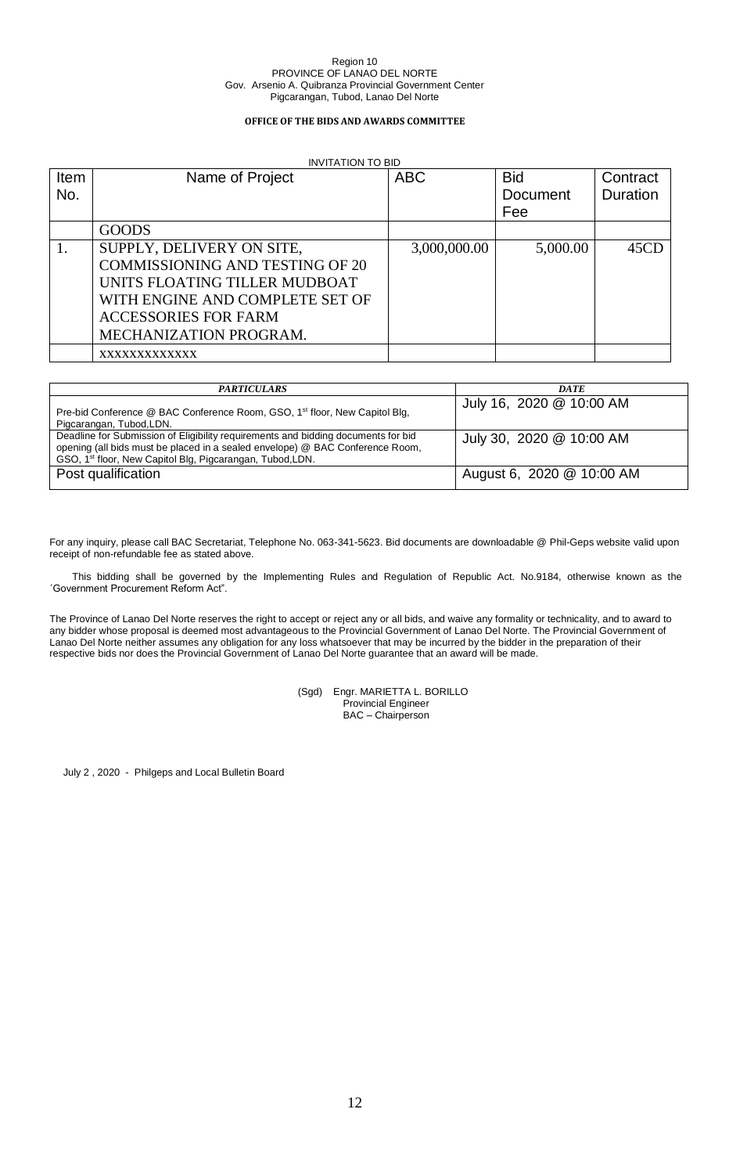## **OFFICE OF THE BIDS AND AWARDS COMMITTEE**

## INVITATION TO BID

| Item | Name of Project                        | <b>ABC</b>   | <b>Bid</b> | Contract |
|------|----------------------------------------|--------------|------------|----------|
| No.  |                                        |              | Document   | Duration |
|      |                                        |              | Fee        |          |
|      | <b>GOODS</b>                           |              |            |          |
|      | SUPPLY, DELIVERY ON SITE,              | 3,000,000.00 | 5,000.00   | 45CD     |
|      | <b>COMMISSIONING AND TESTING OF 20</b> |              |            |          |
|      | UNITS FLOATING TILLER MUDBOAT          |              |            |          |
|      | WITH ENGINE AND COMPLETE SET OF        |              |            |          |
|      | <b>ACCESSORIES FOR FARM</b>            |              |            |          |
|      | MECHANIZATION PROGRAM.                 |              |            |          |
|      | XXXXXXXXXXXX                           |              |            |          |

| <b>PARTICULARS</b>                                                                                                                                                                                                                          | <b>DATE</b>               |
|---------------------------------------------------------------------------------------------------------------------------------------------------------------------------------------------------------------------------------------------|---------------------------|
| Pre-bid Conference @ BAC Conference Room, GSO, 1 <sup>st</sup> floor, New Capitol Blg,<br>Pigcarangan, Tubod, LDN.                                                                                                                          | July 16, 2020 @ 10:00 AM  |
| Deadline for Submission of Eligibility requirements and bidding documents for bid<br>opening (all bids must be placed in a sealed envelope) @ BAC Conference Room,<br>GSO, 1 <sup>st</sup> floor, New Capitol Blg, Pigcarangan, Tubod, LDN. | July 30, 2020 @ 10:00 AM  |
| Post qualification                                                                                                                                                                                                                          | August 6, 2020 @ 10:00 AM |

For any inquiry, please call BAC Secretariat, Telephone No. 063-341-5623. Bid documents are downloadable @ Phil-Geps website valid upon receipt of non-refundable fee as stated above.

This bidding shall be governed by the Implementing Rules and Regulation of Republic Act. No.9184, otherwise known as the ´Government Procurement Reform Act".

The Province of Lanao Del Norte reserves the right to accept or reject any or all bids, and waive any formality or technicality, and to award to any bidder whose proposal is deemed most advantageous to the Provincial Government of Lanao Del Norte. The Provincial Government of Lanao Del Norte neither assumes any obligation for any loss whatsoever that may be incurred by the bidder in the preparation of their respective bids nor does the Provincial Government of Lanao Del Norte guarantee that an award will be made.

> (Sgd) Engr. MARIETTA L. BORILLO Provincial Engineer BAC – Chairperson

July 2 , 2020 - Philgeps and Local Bulletin Board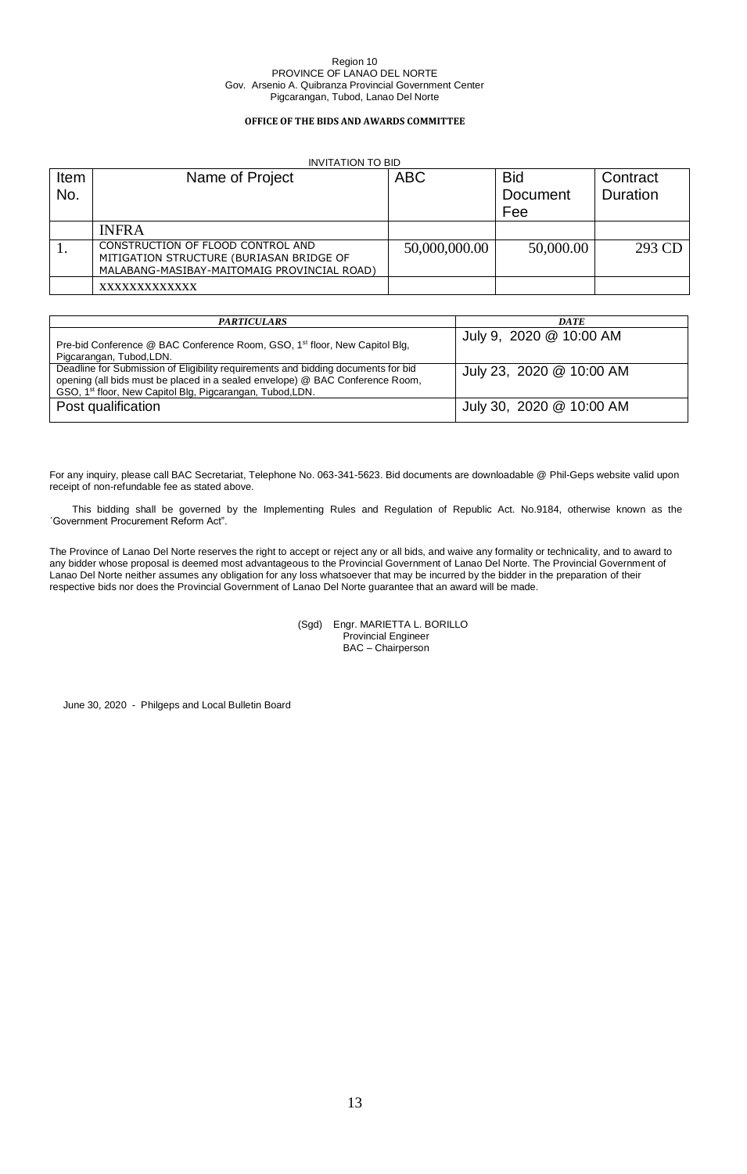## **OFFICE OF THE BIDS AND AWARDS COMMITTEE**

|             | <b>INVITATION TO BID</b>                                                                                                     |               |                        |                             |  |  |
|-------------|------------------------------------------------------------------------------------------------------------------------------|---------------|------------------------|-----------------------------|--|--|
| Item<br>No. | Name of Project                                                                                                              | <b>ABC</b>    | <b>Bid</b><br>Document | Contract<br><b>Duration</b> |  |  |
|             |                                                                                                                              |               | Fee                    |                             |  |  |
|             | <b>INFRA</b>                                                                                                                 |               |                        |                             |  |  |
|             | CONSTRUCTION OF FLOOD CONTROL AND<br>MITIGATION STRUCTURE (BURIASAN BRIDGE OF<br>MALABANG-MASIBAY-MAITOMAIG PROVINCIAL ROAD) | 50,000,000.00 | 50,000.00              | 293 CD                      |  |  |
|             | XXXXXXXXXXXX                                                                                                                 |               |                        |                             |  |  |

| <b>PARTICULARS</b>                                                                                                                                                                                                                          | <b>DATE</b>              |
|---------------------------------------------------------------------------------------------------------------------------------------------------------------------------------------------------------------------------------------------|--------------------------|
| Pre-bid Conference @ BAC Conference Room, GSO, 1 <sup>st</sup> floor, New Capitol Blg,<br>Pigcarangan, Tubod, LDN.                                                                                                                          | July 9, 2020 @ 10:00 AM  |
| Deadline for Submission of Eligibility requirements and bidding documents for bid<br>opening (all bids must be placed in a sealed envelope) @ BAC Conference Room,<br>GSO, 1 <sup>st</sup> floor, New Capitol Blg, Pigcarangan, Tubod, LDN. | July 23, 2020 @ 10:00 AM |
| Post qualification                                                                                                                                                                                                                          | July 30, 2020 @ 10:00 AM |

For any inquiry, please call BAC Secretariat, Telephone No. 063-341-5623. Bid documents are downloadable @ Phil-Geps website valid upon receipt of non-refundable fee as stated above.

This bidding shall be governed by the Implementing Rules and Regulation of Republic Act. No.9184, otherwise known as the ´Government Procurement Reform Act".

The Province of Lanao Del Norte reserves the right to accept or reject any or all bids, and waive any formality or technicality, and to award to any bidder whose proposal is deemed most advantageous to the Provincial Government of Lanao Del Norte. The Provincial Government of Lanao Del Norte neither assumes any obligation for any loss whatsoever that may be incurred by the bidder in the preparation of their respective bids nor does the Provincial Government of Lanao Del Norte guarantee that an award will be made.

> (Sgd) Engr. MARIETTA L. BORILLO Provincial Engineer BAC – Chairperson

June 30, 2020 - Philgeps and Local Bulletin Board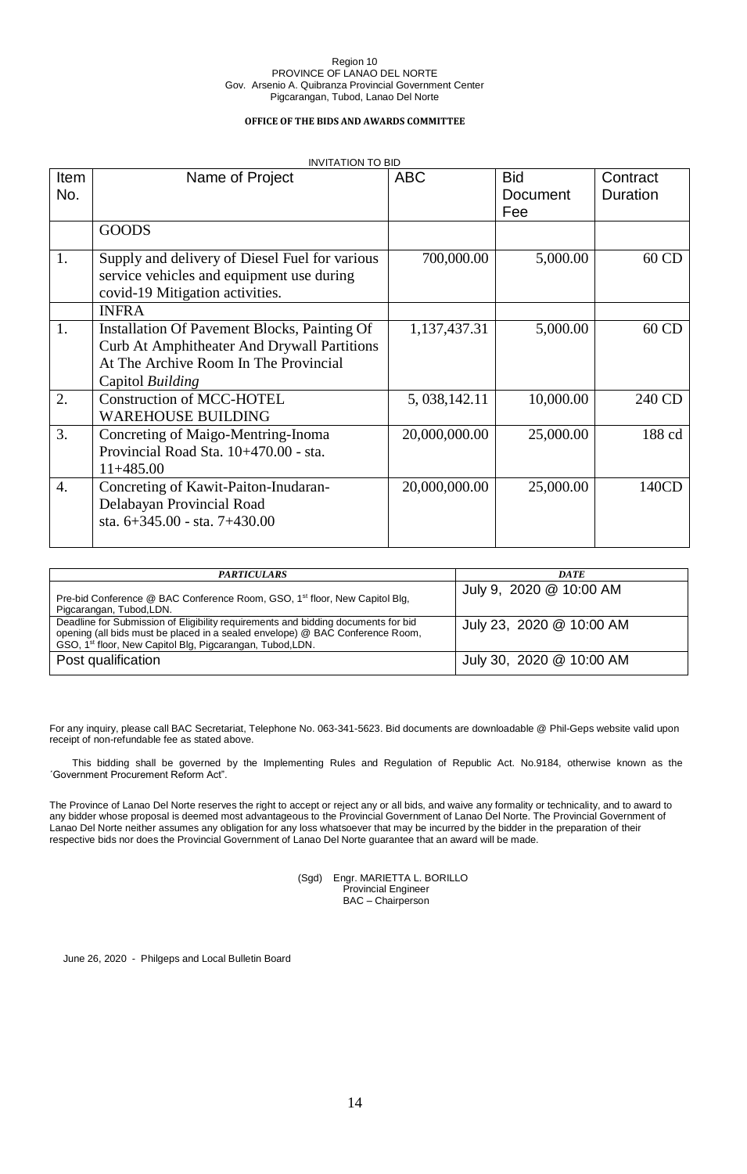## **OFFICE OF THE BIDS AND AWARDS COMMITTEE**

|                  | <b>INVITATION TO BID</b>                                                     |                 |                 |                 |
|------------------|------------------------------------------------------------------------------|-----------------|-----------------|-----------------|
| <b>Item</b>      | Name of Project                                                              | <b>ABC</b>      | <b>Bid</b>      | Contract        |
| No.              |                                                                              |                 | <b>Document</b> | <b>Duration</b> |
|                  |                                                                              |                 | Fee             |                 |
|                  | <b>GOODS</b>                                                                 |                 |                 |                 |
| 1.               | Supply and delivery of Diesel Fuel for various                               | 700,000.00      | 5,000.00        | 60 CD           |
|                  | service vehicles and equipment use during<br>covid-19 Mitigation activities. |                 |                 |                 |
|                  | <b>INFRA</b>                                                                 |                 |                 |                 |
| 1.               | Installation Of Pavement Blocks, Painting Of                                 | 1,137,437.31    | 5,000.00        | 60 CD           |
|                  | Curb At Amphitheater And Drywall Partitions                                  |                 |                 |                 |
|                  | At The Archive Room In The Provincial                                        |                 |                 |                 |
|                  | Capitol Building                                                             |                 |                 |                 |
| 2.               | <b>Construction of MCC-HOTEL</b>                                             | 5, 038, 142. 11 | 10,000.00       | 240 CD          |
|                  | <b>WAREHOUSE BUILDING</b>                                                    |                 |                 |                 |
| 3.               | Concreting of Maigo-Mentring-Inoma                                           | 20,000,000.00   | 25,000.00       | 188 cd          |
|                  | Provincial Road Sta. 10+470.00 - sta.                                        |                 |                 |                 |
|                  | $11+485.00$                                                                  |                 |                 |                 |
| $\overline{4}$ . | Concreting of Kawit-Paiton-Inudaran-                                         | 20,000,000.00   | 25,000.00       | 140CD           |
|                  | Delabayan Provincial Road                                                    |                 |                 |                 |
|                  | sta. $6+345.00$ - sta. $7+430.00$                                            |                 |                 |                 |
|                  |                                                                              |                 |                 |                 |

| <b>PARTICULARS</b>                                                                                                                                                                                                                          | <b>DATE</b>              |
|---------------------------------------------------------------------------------------------------------------------------------------------------------------------------------------------------------------------------------------------|--------------------------|
| Pre-bid Conference @ BAC Conference Room, GSO, 1 <sup>st</sup> floor, New Capitol Blg,<br>Pigcarangan, Tubod, LDN.                                                                                                                          | July 9, 2020 @ 10:00 AM  |
| Deadline for Submission of Eligibility requirements and bidding documents for bid<br>opening (all bids must be placed in a sealed envelope) @ BAC Conference Room,<br>GSO, 1 <sup>st</sup> floor, New Capitol Blg, Pigcarangan, Tubod, LDN. | July 23, 2020 @ 10:00 AM |
| Post qualification                                                                                                                                                                                                                          | July 30, 2020 @ 10:00 AM |

For any inquiry, please call BAC Secretariat, Telephone No. 063-341-5623. Bid documents are downloadable @ Phil-Geps website valid upon receipt of non-refundable fee as stated above.

This bidding shall be governed by the Implementing Rules and Regulation of Republic Act. No.9184, otherwise known as the ´Government Procurement Reform Act".

The Province of Lanao Del Norte reserves the right to accept or reject any or all bids, and waive any formality or technicality, and to award to any bidder whose proposal is deemed most advantageous to the Provincial Government of Lanao Del Norte. The Provincial Government of Lanao Del Norte neither assumes any obligation for any loss whatsoever that may be incurred by the bidder in the preparation of their respective bids nor does the Provincial Government of Lanao Del Norte guarantee that an award will be made.

> (Sgd) Engr. MARIETTA L. BORILLO Provincial Engineer BAC – Chairperson

June 26, 2020 - Philgeps and Local Bulletin Board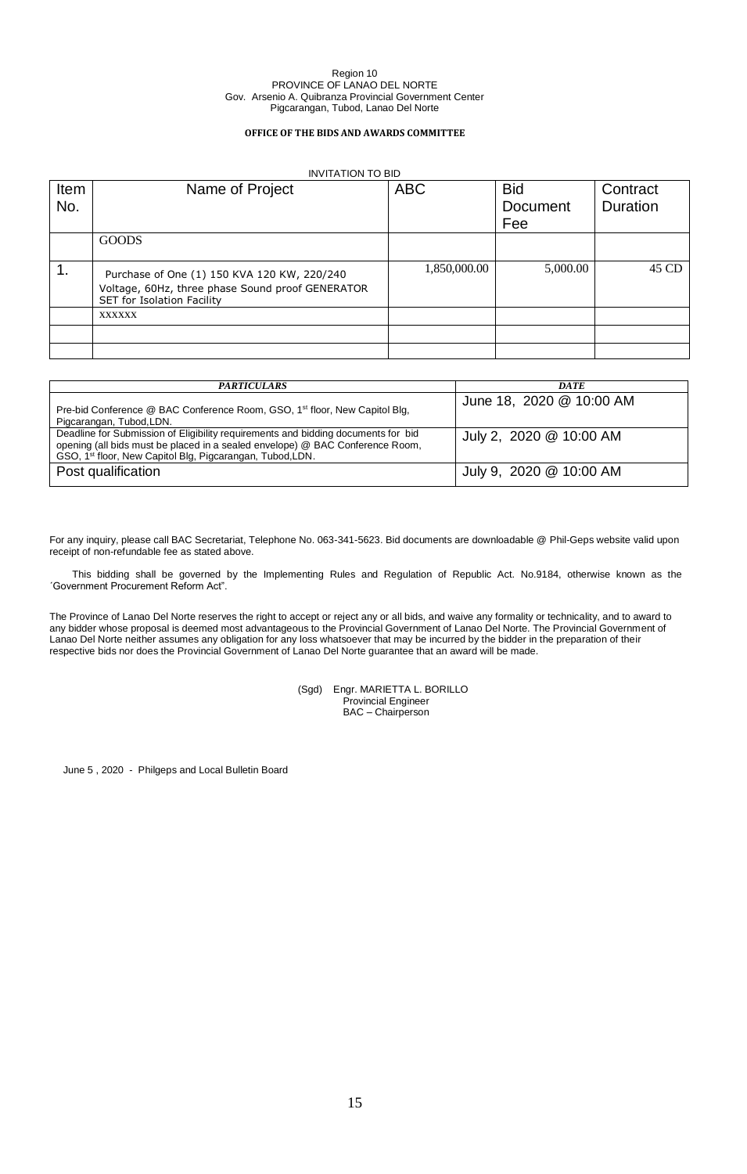#### **OFFICE OF THE BIDS AND AWARDS COMMITTEE**

|      | <b>INVITATION TO BID</b>                                                                                                      |              |            |          |  |
|------|-------------------------------------------------------------------------------------------------------------------------------|--------------|------------|----------|--|
| Item | Name of Project                                                                                                               | <b>ABC</b>   | <b>Bid</b> | Contract |  |
| No.  |                                                                                                                               |              | Document   | Duration |  |
|      |                                                                                                                               |              | Fee        |          |  |
|      | <b>GOODS</b>                                                                                                                  |              |            |          |  |
| 1.   | Purchase of One (1) 150 KVA 120 KW, 220/240<br>Voltage, 60Hz, three phase Sound proof GENERATOR<br>SET for Isolation Facility | 1,850,000.00 | 5,000.00   | 45 CD    |  |
|      | XXXXXX                                                                                                                        |              |            |          |  |
|      |                                                                                                                               |              |            |          |  |
|      |                                                                                                                               |              |            |          |  |

| <b>PARTICULARS</b>                                                                                                                                                                                                                          | <b>DATE</b>              |
|---------------------------------------------------------------------------------------------------------------------------------------------------------------------------------------------------------------------------------------------|--------------------------|
| Pre-bid Conference @ BAC Conference Room, GSO, 1 <sup>st</sup> floor, New Capitol Blg,<br>Pigcarangan, Tubod, LDN.                                                                                                                          | June 18, 2020 @ 10:00 AM |
| Deadline for Submission of Eligibility requirements and bidding documents for bid<br>opening (all bids must be placed in a sealed envelope) @ BAC Conference Room,<br>GSO, 1 <sup>st</sup> floor, New Capitol Blg, Pigcarangan, Tubod, LDN. | July 2, 2020 @ 10:00 AM  |
| Post qualification                                                                                                                                                                                                                          | July 9, 2020 @ 10:00 AM  |

For any inquiry, please call BAC Secretariat, Telephone No. 063-341-5623. Bid documents are downloadable @ Phil-Geps website valid upon receipt of non-refundable fee as stated above.

This bidding shall be governed by the Implementing Rules and Regulation of Republic Act. No.9184, otherwise known as the ´Government Procurement Reform Act".

The Province of Lanao Del Norte reserves the right to accept or reject any or all bids, and waive any formality or technicality, and to award to any bidder whose proposal is deemed most advantageous to the Provincial Government of Lanao Del Norte. The Provincial Government of Lanao Del Norte neither assumes any obligation for any loss whatsoever that may be incurred by the bidder in the preparation of their respective bids nor does the Provincial Government of Lanao Del Norte guarantee that an award will be made.

> (Sgd) Engr. MARIETTA L. BORILLO Provincial Engineer BAC – Chairperson

June 5 , 2020 - Philgeps and Local Bulletin Board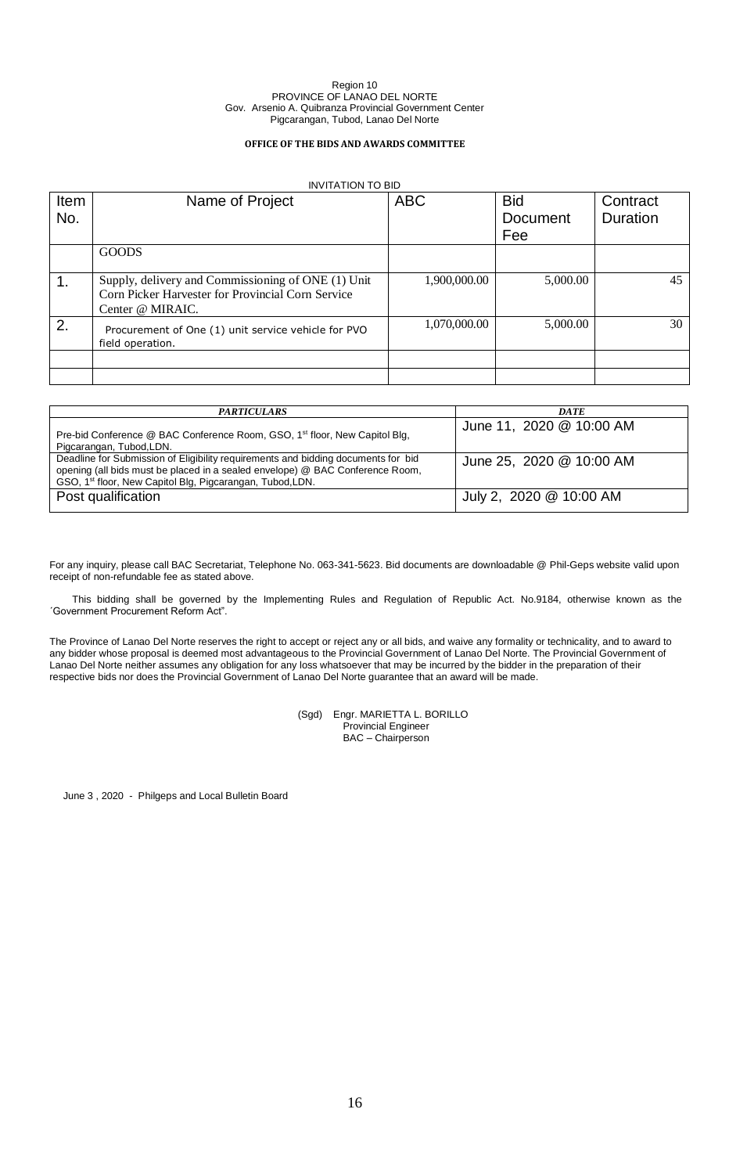## **OFFICE OF THE BIDS AND AWARDS COMMITTEE**

|      | <b>INVITATION TO BID</b>                                                |              |            |                 |  |
|------|-------------------------------------------------------------------------|--------------|------------|-----------------|--|
| Item | Name of Project                                                         | <b>ABC</b>   | <b>Bid</b> | Contract        |  |
| No.  |                                                                         |              | Document   | <b>Duration</b> |  |
|      |                                                                         |              | Fee        |                 |  |
|      | <b>GOODS</b>                                                            |              |            |                 |  |
|      |                                                                         |              |            |                 |  |
| 1.   | Supply, delivery and Commissioning of ONE (1) Unit                      | 1,900,000.00 | 5,000.00   | 45              |  |
|      | Corn Picker Harvester for Provincial Corn Service                       |              |            |                 |  |
|      | Center @ MIRAIC.                                                        |              |            |                 |  |
| 2.   | Procurement of One (1) unit service vehicle for PVO<br>field operation. | 1,070,000.00 | 5,000.00   | 30              |  |
|      |                                                                         |              |            |                 |  |
|      |                                                                         |              |            |                 |  |

| <b>PARTICULARS</b>                                                                                                                                                                                                                          | <b>DATE</b>              |
|---------------------------------------------------------------------------------------------------------------------------------------------------------------------------------------------------------------------------------------------|--------------------------|
| Pre-bid Conference @ BAC Conference Room, GSO, 1 <sup>st</sup> floor, New Capitol Blg,<br>Pigcarangan, Tubod, LDN.                                                                                                                          | June 11, 2020 @ 10:00 AM |
| Deadline for Submission of Eligibility requirements and bidding documents for bid<br>opening (all bids must be placed in a sealed envelope) @ BAC Conference Room,<br>GSO, 1 <sup>st</sup> floor, New Capitol Blg, Pigcarangan, Tubod, LDN. | June 25, 2020 @ 10:00 AM |
| Post qualification                                                                                                                                                                                                                          | July 2, 2020 @ 10:00 AM  |

For any inquiry, please call BAC Secretariat, Telephone No. 063-341-5623. Bid documents are downloadable @ Phil-Geps website valid upon receipt of non-refundable fee as stated above.

This bidding shall be governed by the Implementing Rules and Regulation of Republic Act. No.9184, otherwise known as the ´Government Procurement Reform Act".

The Province of Lanao Del Norte reserves the right to accept or reject any or all bids, and waive any formality or technicality, and to award to any bidder whose proposal is deemed most advantageous to the Provincial Government of Lanao Del Norte. The Provincial Government of Lanao Del Norte neither assumes any obligation for any loss whatsoever that may be incurred by the bidder in the preparation of their respective bids nor does the Provincial Government of Lanao Del Norte guarantee that an award will be made.

> (Sgd) Engr. MARIETTA L. BORILLO Provincial Engineer BAC – Chairperson

June 3 , 2020 - Philgeps and Local Bulletin Board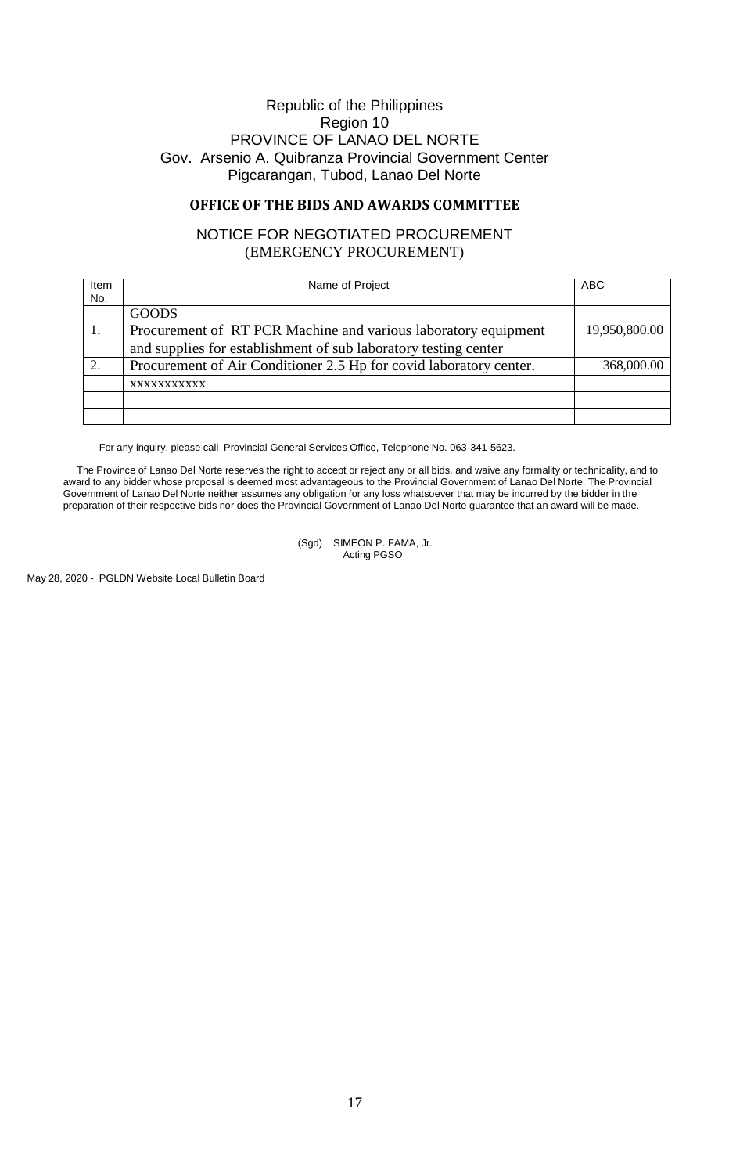# **OFFICE OF THE BIDS AND AWARDS COMMITTEE**

# NOTICE FOR NEGOTIATED PROCUREMENT (EMERGENCY PROCUREMENT)

| Item<br>No. | Name of Project                                                                                                                   | <b>ABC</b>    |
|-------------|-----------------------------------------------------------------------------------------------------------------------------------|---------------|
|             | <b>GOODS</b>                                                                                                                      |               |
|             | Procurement of RT PCR Machine and various laboratory equipment<br>and supplies for establishment of sub laboratory testing center | 19,950,800.00 |
| 2.          | Procurement of Air Conditioner 2.5 Hp for covid laboratory center.                                                                | 368,000.00    |
|             | XXXXXXXXXXX                                                                                                                       |               |
|             |                                                                                                                                   |               |
|             |                                                                                                                                   |               |

For any inquiry, please call Provincial General Services Office, Telephone No. 063-341-5623.

The Province of Lanao Del Norte reserves the right to accept or reject any or all bids, and waive any formality or technicality, and to award to any bidder whose proposal is deemed most advantageous to the Provincial Government of Lanao Del Norte. The Provincial Government of Lanao Del Norte neither assumes any obligation for any loss whatsoever that may be incurred by the bidder in the preparation of their respective bids nor does the Provincial Government of Lanao Del Norte guarantee that an award will be made.

> (Sgd) SIMEON P. FAMA, Jr. Acting PGSO

May 28, 2020 - PGLDN Website Local Bulletin Board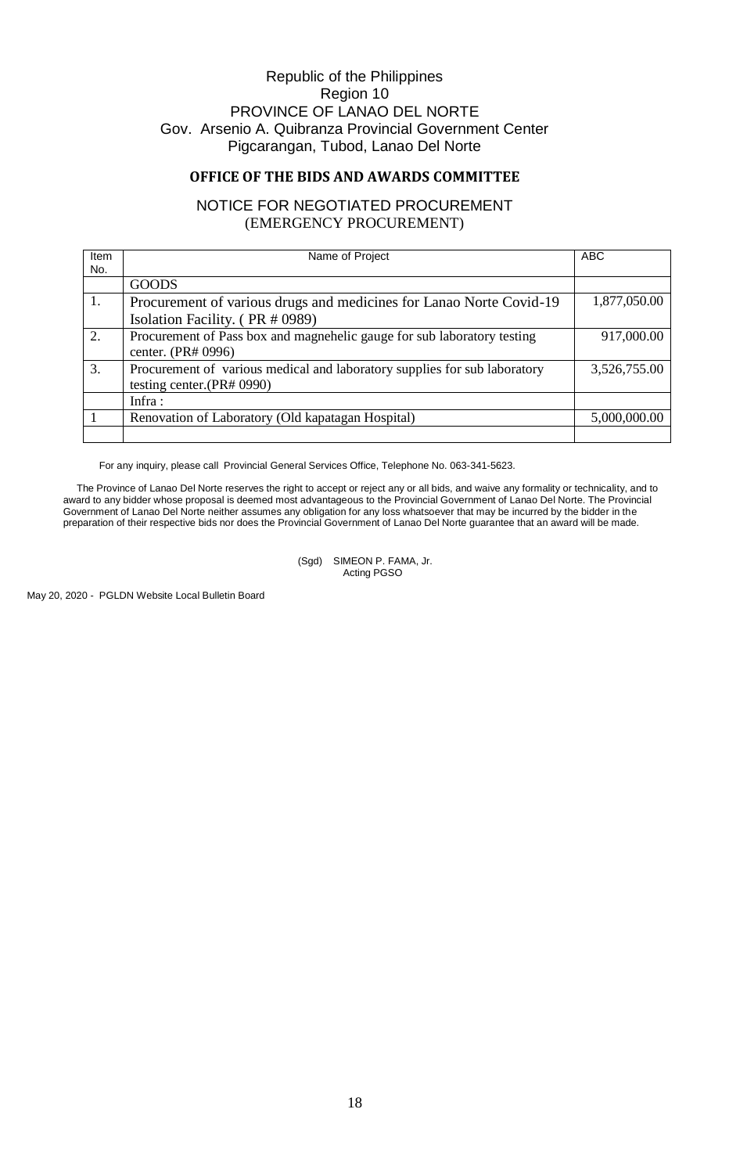# **OFFICE OF THE BIDS AND AWARDS COMMITTEE**

# NOTICE FOR NEGOTIATED PROCUREMENT (EMERGENCY PROCUREMENT)

| Item | Name of Project                                                           | <b>ABC</b>   |
|------|---------------------------------------------------------------------------|--------------|
| No.  |                                                                           |              |
|      | <b>GOODS</b>                                                              |              |
| 1.   | Procurement of various drugs and medicines for Lanao Norte Covid-19       | 1,877,050.00 |
|      | Isolation Facility. (PR # 0989)                                           |              |
| 2.   | Procurement of Pass box and magnehelic gauge for sub laboratory testing   | 917,000.00   |
|      | center. (PR# 0996)                                                        |              |
| 3.   | Procurement of various medical and laboratory supplies for sub laboratory | 3,526,755.00 |
|      | testing center. $(PR# 0990)$                                              |              |
|      | Infra:                                                                    |              |
|      | Renovation of Laboratory (Old kapatagan Hospital)                         | 5,000,000.00 |
|      |                                                                           |              |

For any inquiry, please call Provincial General Services Office, Telephone No. 063-341-5623.

The Province of Lanao Del Norte reserves the right to accept or reject any or all bids, and waive any formality or technicality, and to award to any bidder whose proposal is deemed most advantageous to the Provincial Government of Lanao Del Norte. The Provincial Government of Lanao Del Norte neither assumes any obligation for any loss whatsoever that may be incurred by the bidder in the preparation of their respective bids nor does the Provincial Government of Lanao Del Norte guarantee that an award will be made.

> (Sgd) SIMEON P. FAMA, Jr. Acting PGSO

May 20, 2020 - PGLDN Website Local Bulletin Board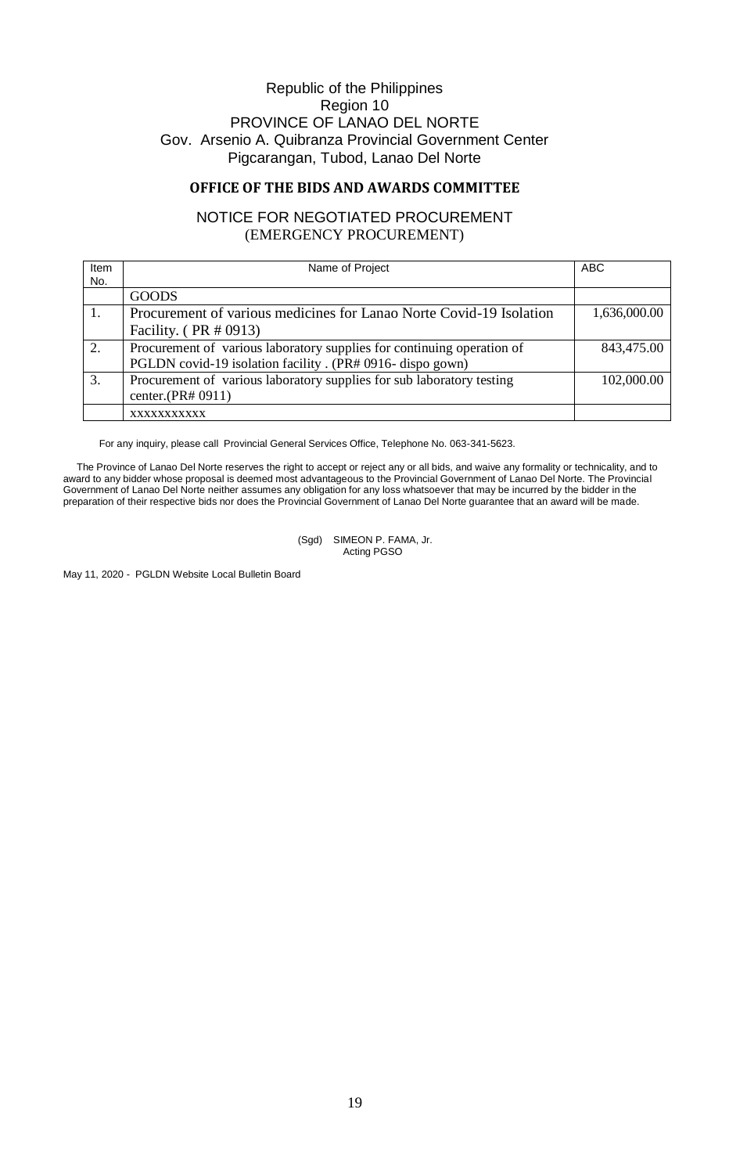## **OFFICE OF THE BIDS AND AWARDS COMMITTEE**

# NOTICE FOR NEGOTIATED PROCUREMENT (EMERGENCY PROCUREMENT)

| Item<br>No. | Name of Project                                                        | <b>ABC</b>   |
|-------------|------------------------------------------------------------------------|--------------|
|             | <b>GOODS</b>                                                           |              |
|             | Procurement of various medicines for Lanao Norte Covid-19 Isolation    | 1,636,000.00 |
|             | Facility. $(PR \# 0913)$                                               |              |
| 2.          | Procurement of various laboratory supplies for continuing operation of | 843,475.00   |
|             | PGLDN covid-19 isolation facility. (PR# 0916- dispo gown)              |              |
| 3.          | Procurement of various laboratory supplies for sub laboratory testing  | 102,000.00   |
|             | center. $(PR# 0911)$                                                   |              |
|             | XXXXXXXXXXX                                                            |              |

For any inquiry, please call Provincial General Services Office, Telephone No. 063-341-5623.

The Province of Lanao Del Norte reserves the right to accept or reject any or all bids, and waive any formality or technicality, and to award to any bidder whose proposal is deemed most advantageous to the Provincial Government of Lanao Del Norte. The Provincial Government of Lanao Del Norte neither assumes any obligation for any loss whatsoever that may be incurred by the bidder in the preparation of their respective bids nor does the Provincial Government of Lanao Del Norte guarantee that an award will be made.

> (Sgd) SIMEON P. FAMA, Jr. Acting PGSO

May 11, 2020 - PGLDN Website Local Bulletin Board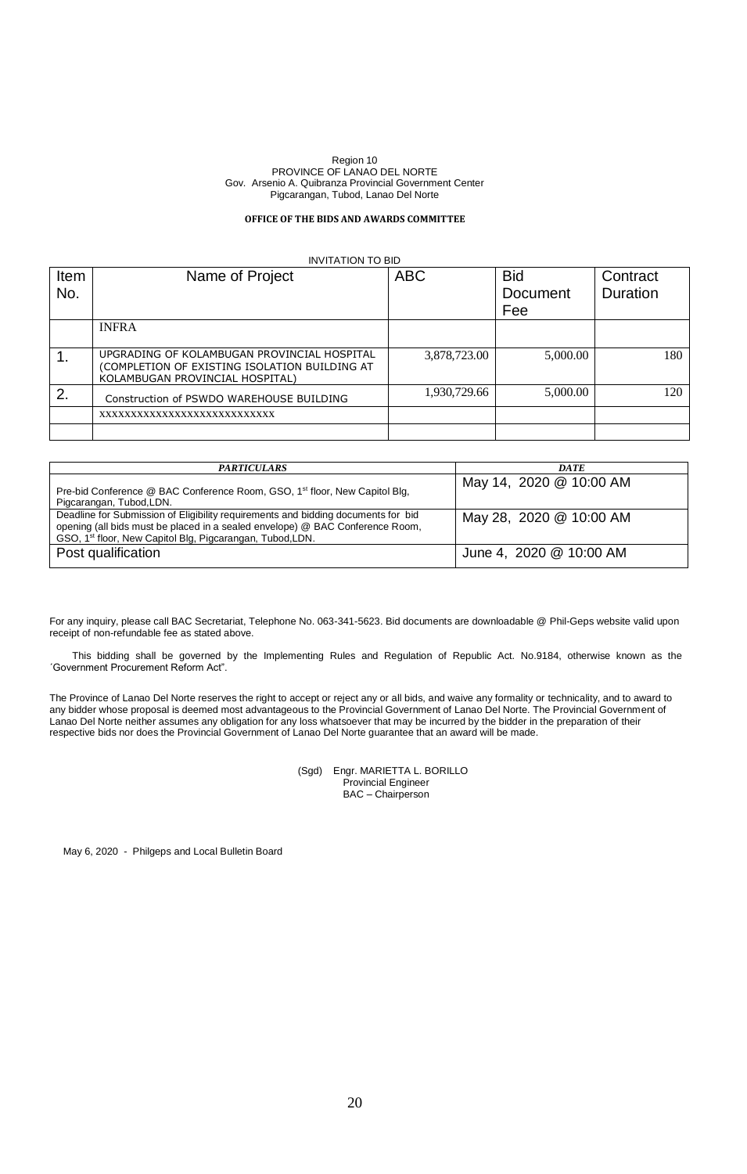## **OFFICE OF THE BIDS AND AWARDS COMMITTEE**

|             | <b>INVITATION TO BID</b>                                                                                                        |              |                               |                      |  |
|-------------|---------------------------------------------------------------------------------------------------------------------------------|--------------|-------------------------------|----------------------|--|
| Item<br>No. | Name of Project                                                                                                                 | <b>ABC</b>   | <b>Bid</b><br><b>Document</b> | Contract<br>Duration |  |
|             |                                                                                                                                 |              | Fee                           |                      |  |
|             | <b>INFRA</b>                                                                                                                    |              |                               |                      |  |
|             | UPGRADING OF KOLAMBUGAN PROVINCIAL HOSPITAL<br>(COMPLETION OF EXISTING ISOLATION BUILDING AT<br>KOLAMBUGAN PROVINCIAL HOSPITAL) | 3,878,723.00 | 5,000.00                      | 180                  |  |
| 2.          | Construction of PSWDO WAREHOUSE BUILDING                                                                                        | 1,930,729.66 | 5,000.00                      | 120                  |  |
|             | XXXXXXXXXXXXXXXXXXXXXXXXXXXX                                                                                                    |              |                               |                      |  |
|             |                                                                                                                                 |              |                               |                      |  |

| <b>PARTICULARS</b>                                                                                                                                                                                                                          | <b>DATE</b>             |
|---------------------------------------------------------------------------------------------------------------------------------------------------------------------------------------------------------------------------------------------|-------------------------|
| Pre-bid Conference @ BAC Conference Room, GSO, 1 <sup>st</sup> floor, New Capitol Blg,<br>Pigcarangan, Tubod, LDN.                                                                                                                          | May 14, 2020 @ 10:00 AM |
| Deadline for Submission of Eligibility requirements and bidding documents for bid<br>opening (all bids must be placed in a sealed envelope) @ BAC Conference Room,<br>GSO, 1 <sup>st</sup> floor, New Capitol Blg, Pigcarangan, Tubod, LDN. | May 28, 2020 @ 10:00 AM |
| Post qualification                                                                                                                                                                                                                          | June 4, 2020 @ 10:00 AM |

For any inquiry, please call BAC Secretariat, Telephone No. 063-341-5623. Bid documents are downloadable @ Phil-Geps website valid upon receipt of non-refundable fee as stated above.

This bidding shall be governed by the Implementing Rules and Regulation of Republic Act. No.9184, otherwise known as the ´Government Procurement Reform Act".

The Province of Lanao Del Norte reserves the right to accept or reject any or all bids, and waive any formality or technicality, and to award to any bidder whose proposal is deemed most advantageous to the Provincial Government of Lanao Del Norte. The Provincial Government of Lanao Del Norte neither assumes any obligation for any loss whatsoever that may be incurred by the bidder in the preparation of their respective bids nor does the Provincial Government of Lanao Del Norte guarantee that an award will be made.

> (Sgd) Engr. MARIETTA L. BORILLO Provincial Engineer BAC – Chairperson

May 6, 2020 - Philgeps and Local Bulletin Board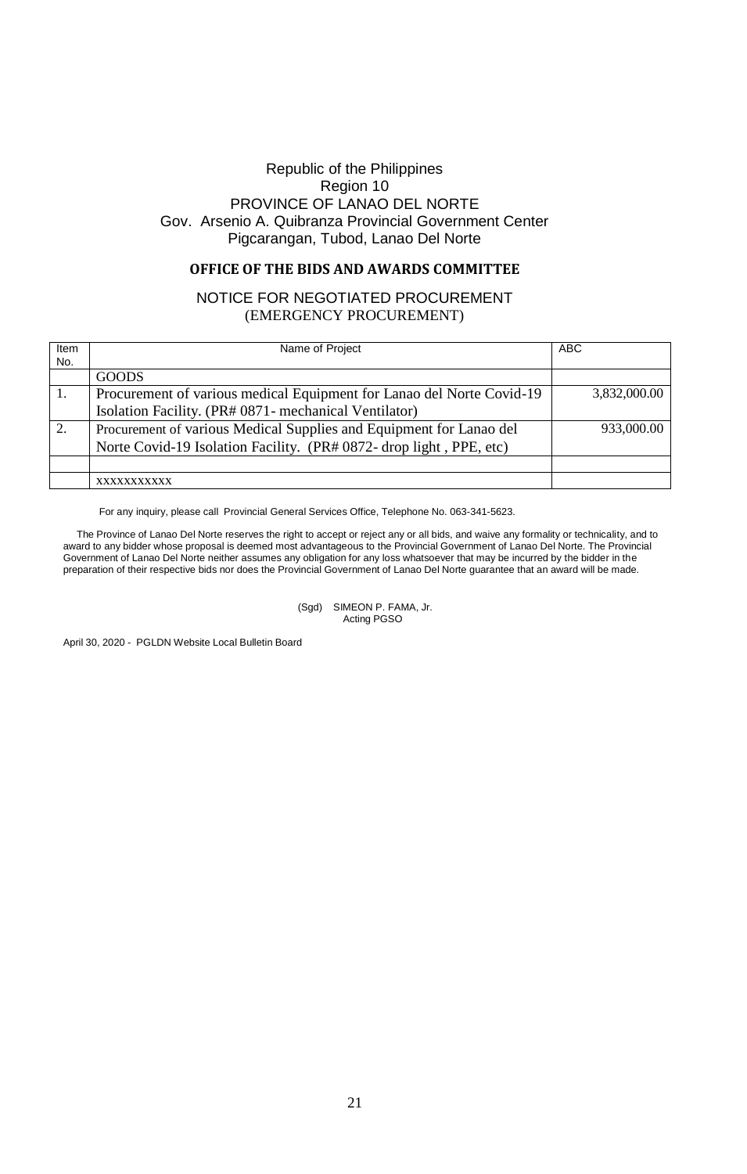# **OFFICE OF THE BIDS AND AWARDS COMMITTEE**

# NOTICE FOR NEGOTIATED PROCUREMENT (EMERGENCY PROCUREMENT)

| <b>ABC</b><br>Name of Project<br>Item<br>No.<br><b>GOODS</b><br>1.<br>3,832,000.00<br>Procurement of various medical Equipment for Lanao del Norte Covid-19<br>Isolation Facility. (PR# 0871- mechanical Ventilator)<br>2.<br>Procurement of various Medical Supplies and Equipment for Lanao del<br>933,000.00<br>Norte Covid-19 Isolation Facility. (PR# 0872- drop light, PPE, etc) |  |
|----------------------------------------------------------------------------------------------------------------------------------------------------------------------------------------------------------------------------------------------------------------------------------------------------------------------------------------------------------------------------------------|--|
|                                                                                                                                                                                                                                                                                                                                                                                        |  |
|                                                                                                                                                                                                                                                                                                                                                                                        |  |
|                                                                                                                                                                                                                                                                                                                                                                                        |  |
|                                                                                                                                                                                                                                                                                                                                                                                        |  |
|                                                                                                                                                                                                                                                                                                                                                                                        |  |
|                                                                                                                                                                                                                                                                                                                                                                                        |  |
|                                                                                                                                                                                                                                                                                                                                                                                        |  |
|                                                                                                                                                                                                                                                                                                                                                                                        |  |
|                                                                                                                                                                                                                                                                                                                                                                                        |  |
| XXXXXXXXXX                                                                                                                                                                                                                                                                                                                                                                             |  |

For any inquiry, please call Provincial General Services Office, Telephone No. 063-341-5623.

The Province of Lanao Del Norte reserves the right to accept or reject any or all bids, and waive any formality or technicality, and to award to any bidder whose proposal is deemed most advantageous to the Provincial Government of Lanao Del Norte. The Provincial Government of Lanao Del Norte neither assumes any obligation for any loss whatsoever that may be incurred by the bidder in the preparation of their respective bids nor does the Provincial Government of Lanao Del Norte guarantee that an award will be made.

> (Sgd) SIMEON P. FAMA, Jr. Acting PGSO

April 30, 2020 - PGLDN Website Local Bulletin Board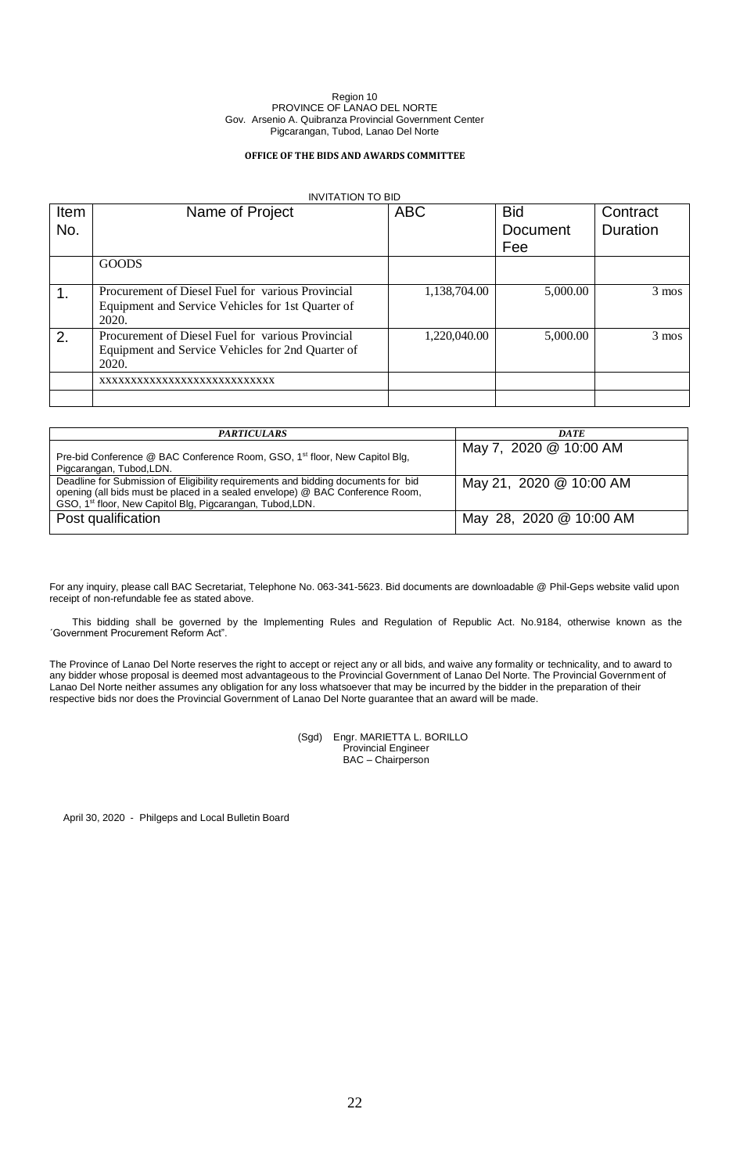## **OFFICE OF THE BIDS AND AWARDS COMMITTEE**

## INVITATION TO BID

| Item<br>No. | Name of Project                                                                                                 | <b>ABC</b>   | <b>Bid</b><br><b>Document</b><br>Fee | Contract<br><b>Duration</b> |
|-------------|-----------------------------------------------------------------------------------------------------------------|--------------|--------------------------------------|-----------------------------|
|             | <b>GOODS</b>                                                                                                    |              |                                      |                             |
|             | Procurement of Diesel Fuel for various Provincial<br>Equipment and Service Vehicles for 1st Quarter of<br>2020. | 1,138,704.00 | 5,000.00                             | $3 \text{ mos}$             |
| 2.          | Procurement of Diesel Fuel for various Provincial<br>Equipment and Service Vehicles for 2nd Quarter of<br>2020. | 1,220,040.00 | 5,000.00                             | $3 \text{ mos}$             |
|             | XXXXXXXXXXXXXXXXXXXXXXXXXXXX                                                                                    |              |                                      |                             |
|             |                                                                                                                 |              |                                      |                             |

| <b>PARTICULARS</b>                                                                                                                                                                                                                          | <b>DATE</b>             |
|---------------------------------------------------------------------------------------------------------------------------------------------------------------------------------------------------------------------------------------------|-------------------------|
| Pre-bid Conference @ BAC Conference Room, GSO, 1 <sup>st</sup> floor, New Capitol Blg,<br>Pigcarangan, Tubod, LDN.                                                                                                                          | May 7, 2020 @ 10:00 AM  |
| Deadline for Submission of Eligibility requirements and bidding documents for bid<br>opening (all bids must be placed in a sealed envelope) @ BAC Conference Room,<br>GSO, 1 <sup>st</sup> floor, New Capitol Blg, Pigcarangan, Tubod, LDN. | May 21, 2020 @ 10:00 AM |
| Post qualification                                                                                                                                                                                                                          | May 28, 2020 @ 10:00 AM |

For any inquiry, please call BAC Secretariat, Telephone No. 063-341-5623. Bid documents are downloadable @ Phil-Geps website valid upon receipt of non-refundable fee as stated above.

This bidding shall be governed by the Implementing Rules and Regulation of Republic Act. No.9184, otherwise known as the ´Government Procurement Reform Act".

The Province of Lanao Del Norte reserves the right to accept or reject any or all bids, and waive any formality or technicality, and to award to any bidder whose proposal is deemed most advantageous to the Provincial Government of Lanao Del Norte. The Provincial Government of Lanao Del Norte neither assumes any obligation for any loss whatsoever that may be incurred by the bidder in the preparation of their respective bids nor does the Provincial Government of Lanao Del Norte guarantee that an award will be made.

> (Sgd) Engr. MARIETTA L. BORILLO Provincial Engineer BAC – Chairperson

April 30, 2020 - Philgeps and Local Bulletin Board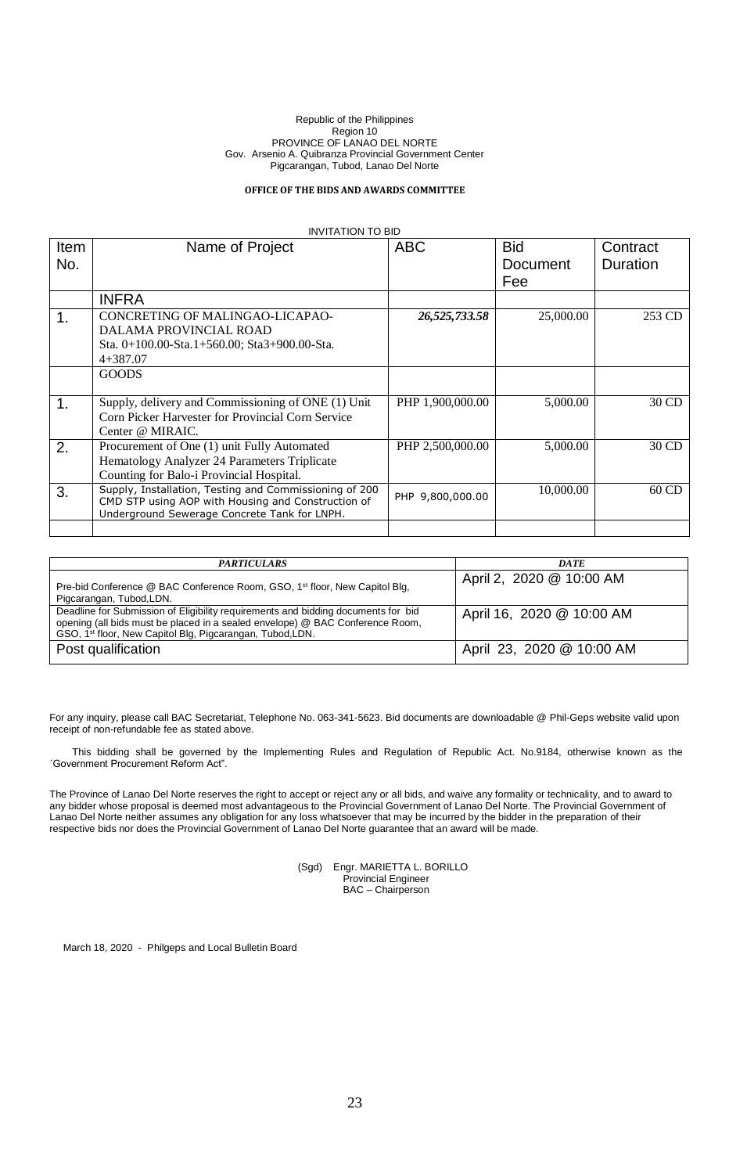### **OFFICE OF THE BIDS AND AWARDS COMMITTEE**

| <b>INVITATION TO BID</b> |                                                                                                                                                              |                  |                               |                      |  |  |
|--------------------------|--------------------------------------------------------------------------------------------------------------------------------------------------------------|------------------|-------------------------------|----------------------|--|--|
| <b>Item</b><br>No.       | Name of Project                                                                                                                                              | <b>ABC</b>       | <b>Bid</b><br>Document<br>Fee | Contract<br>Duration |  |  |
|                          | <b>INFRA</b>                                                                                                                                                 |                  |                               |                      |  |  |
| 1.                       | CONCRETING OF MALINGAO-LICAPAO-<br>DALAMA PROVINCIAL ROAD<br>Sta. 0+100.00-Sta. 1+560.00; Sta3+900.00-Sta.<br>$4+387.07$                                     | 26,525,733.58    | 25,000.00                     | 253 CD               |  |  |
|                          | <b>GOODS</b>                                                                                                                                                 |                  |                               |                      |  |  |
| $\mathbf 1$ .            | Supply, delivery and Commissioning of ONE (1) Unit<br>Corn Picker Harvester for Provincial Corn Service<br>Center @ MIRAIC.                                  | PHP 1.900,000.00 | 5,000.00                      | 30 CD                |  |  |
| 2.                       | Procurement of One (1) unit Fully Automated<br>Hematology Analyzer 24 Parameters Triplicate<br>Counting for Balo-i Provincial Hospital.                      | PHP 2,500,000.00 | 5,000.00                      | 30 CD                |  |  |
| 3.                       | Supply, Installation, Testing and Commissioning of 200<br>CMD STP using AOP with Housing and Construction of<br>Underground Sewerage Concrete Tank for LNPH. | PHP 9,800,000.00 | 10,000.00                     | $60$ CD              |  |  |
|                          |                                                                                                                                                              |                  |                               |                      |  |  |

| <b>PARTICULARS</b>                                                                                                                                                                                                                          | <b>DATE</b>               |
|---------------------------------------------------------------------------------------------------------------------------------------------------------------------------------------------------------------------------------------------|---------------------------|
| Pre-bid Conference @ BAC Conference Room, GSO, 1 <sup>st</sup> floor, New Capitol Blg,<br>Pigcarangan, Tubod, LDN.                                                                                                                          | April 2, 2020 @ 10:00 AM  |
| Deadline for Submission of Eligibility requirements and bidding documents for bid<br>opening (all bids must be placed in a sealed envelope) @ BAC Conference Room,<br>GSO, 1 <sup>st</sup> floor, New Capitol Blg, Pigcarangan, Tubod, LDN. | April 16, 2020 @ 10:00 AM |
| Post qualification                                                                                                                                                                                                                          | April 23, 2020 @ 10:00 AM |

For any inquiry, please call BAC Secretariat, Telephone No. 063-341-5623. Bid documents are downloadable @ Phil-Geps website valid upon receipt of non-refundable fee as stated above.

This bidding shall be governed by the Implementing Rules and Regulation of Republic Act. No.9184, otherwise known as the ´Government Procurement Reform Act".

The Province of Lanao Del Norte reserves the right to accept or reject any or all bids, and waive any formality or technicality, and to award to any bidder whose proposal is deemed most advantageous to the Provincial Government of Lanao Del Norte. The Provincial Government of Lanao Del Norte neither assumes any obligation for any loss whatsoever that may be incurred by the bidder in the preparation of their respective bids nor does the Provincial Government of Lanao Del Norte guarantee that an award will be made.

> (Sgd) Engr. MARIETTA L. BORILLO Provincial Engineer BAC – Chairperson

March 18, 2020 - Philgeps and Local Bulletin Board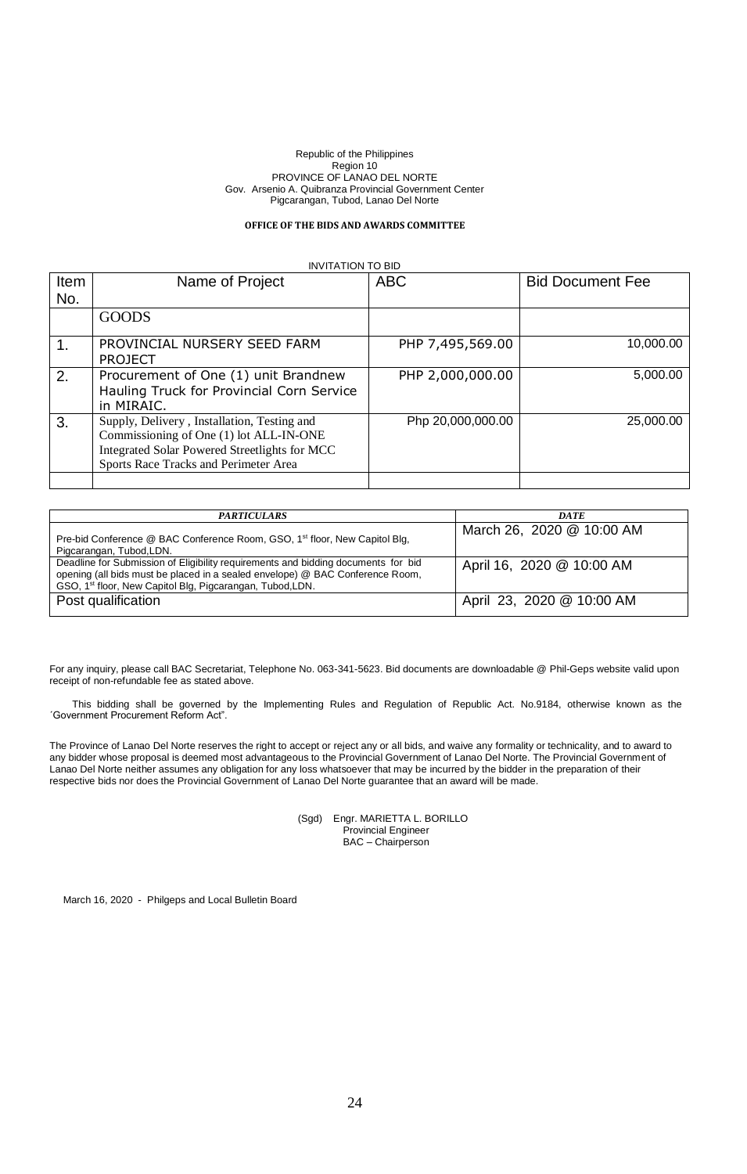## **OFFICE OF THE BIDS AND AWARDS COMMITTEE**

#### INVITATION TO BID

| Item | Name of Project                                                                                                                                                                  | <b>ABC</b>        | <b>Bid Document Fee</b> |
|------|----------------------------------------------------------------------------------------------------------------------------------------------------------------------------------|-------------------|-------------------------|
| No.  |                                                                                                                                                                                  |                   |                         |
|      | <b>GOODS</b>                                                                                                                                                                     |                   |                         |
|      | PROVINCIAL NURSERY SEED FARM<br><b>PROJECT</b>                                                                                                                                   | PHP 7,495,569.00  | 10,000.00               |
| 2.   | Procurement of One (1) unit Brandnew<br>Hauling Truck for Provincial Corn Service<br>in MIRAIC.                                                                                  | PHP 2,000,000.00  | 5,000.00                |
| 3.   | Supply, Delivery, Installation, Testing and<br>Commissioning of One (1) lot ALL-IN-ONE<br>Integrated Solar Powered Streetlights for MCC<br>Sports Race Tracks and Perimeter Area | Php 20,000,000.00 | 25,000.00               |
|      |                                                                                                                                                                                  |                   |                         |

| <b>PARTICULARS</b>                                                                                                                                                                                                                          | <b>DATE</b>               |
|---------------------------------------------------------------------------------------------------------------------------------------------------------------------------------------------------------------------------------------------|---------------------------|
| Pre-bid Conference @ BAC Conference Room, GSO, 1 <sup>st</sup> floor, New Capitol Blg,<br>Pigcarangan, Tubod, LDN.                                                                                                                          | March 26, 2020 @ 10:00 AM |
| Deadline for Submission of Eligibility requirements and bidding documents for bid<br>opening (all bids must be placed in a sealed envelope) @ BAC Conference Room,<br>GSO, 1 <sup>st</sup> floor, New Capitol Blg, Pigcarangan, Tubod, LDN. | April 16, 2020 @ 10:00 AM |
| Post qualification                                                                                                                                                                                                                          | April 23, 2020 @ 10:00 AM |

For any inquiry, please call BAC Secretariat, Telephone No. 063-341-5623. Bid documents are downloadable @ Phil-Geps website valid upon receipt of non-refundable fee as stated above.

This bidding shall be governed by the Implementing Rules and Regulation of Republic Act. No.9184, otherwise known as the ´Government Procurement Reform Act".

The Province of Lanao Del Norte reserves the right to accept or reject any or all bids, and waive any formality or technicality, and to award to any bidder whose proposal is deemed most advantageous to the Provincial Government of Lanao Del Norte. The Provincial Government of Lanao Del Norte neither assumes any obligation for any loss whatsoever that may be incurred by the bidder in the preparation of their respective bids nor does the Provincial Government of Lanao Del Norte guarantee that an award will be made.

> (Sgd) Engr. MARIETTA L. BORILLO Provincial Engineer BAC – Chairperson

March 16, 2020 - Philgeps and Local Bulletin Board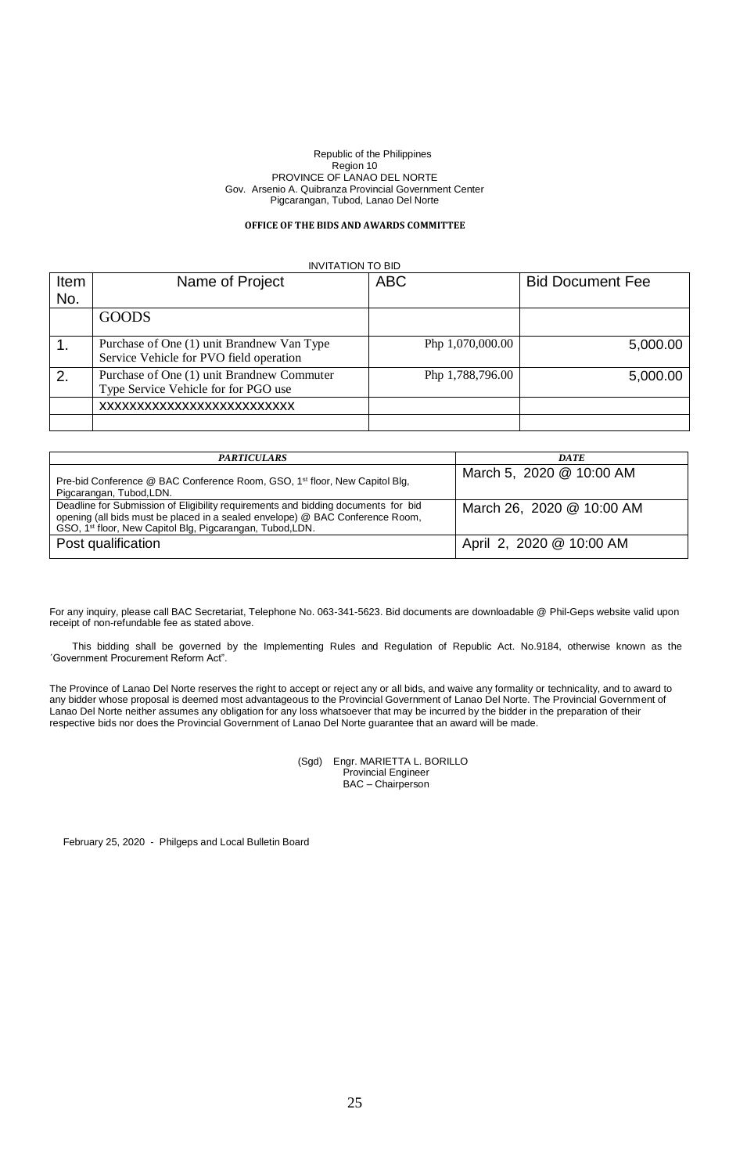## **OFFICE OF THE BIDS AND AWARDS COMMITTEE**

INVITATION TO BID

| Item | Name of Project                                                                       | <b>ABC</b>       | <b>Bid Document Fee</b> |
|------|---------------------------------------------------------------------------------------|------------------|-------------------------|
| No.  |                                                                                       |                  |                         |
|      | <b>GOODS</b>                                                                          |                  |                         |
|      | Purchase of One (1) unit Brandnew Van Type<br>Service Vehicle for PVO field operation | Php 1,070,000.00 | 5,000.00                |
| 2.   | Purchase of One (1) unit Brandnew Commuter<br>Type Service Vehicle for for PGO use    | Php 1,788,796.00 | 5,000.00                |
|      | XXXXXXXXXXXXXXXXXXXXXXXXXX                                                            |                  |                         |
|      |                                                                                       |                  |                         |

| <b>PARTICULARS</b>                                                                                                                                                                                                                          | <b>DATE</b>               |
|---------------------------------------------------------------------------------------------------------------------------------------------------------------------------------------------------------------------------------------------|---------------------------|
| Pre-bid Conference @ BAC Conference Room, GSO, 1 <sup>st</sup> floor, New Capitol Blg,<br>Pigcarangan, Tubod, LDN.                                                                                                                          | March 5, 2020 @ 10:00 AM  |
| Deadline for Submission of Eligibility requirements and bidding documents for bid<br>opening (all bids must be placed in a sealed envelope) @ BAC Conference Room,<br>GSO, 1 <sup>st</sup> floor, New Capitol Blg, Pigcarangan, Tubod, LDN. | March 26, 2020 @ 10:00 AM |
| Post qualification                                                                                                                                                                                                                          | April 2, 2020 @ 10:00 AM  |

For any inquiry, please call BAC Secretariat, Telephone No. 063-341-5623. Bid documents are downloadable @ Phil-Geps website valid upon receipt of non-refundable fee as stated above.

This bidding shall be governed by the Implementing Rules and Regulation of Republic Act. No.9184, otherwise known as the ´Government Procurement Reform Act".

The Province of Lanao Del Norte reserves the right to accept or reject any or all bids, and waive any formality or technicality, and to award to any bidder whose proposal is deemed most advantageous to the Provincial Government of Lanao Del Norte. The Provincial Government of Lanao Del Norte neither assumes any obligation for any loss whatsoever that may be incurred by the bidder in the preparation of their respective bids nor does the Provincial Government of Lanao Del Norte guarantee that an award will be made.

> (Sgd) Engr. MARIETTA L. BORILLO Provincial Engineer BAC – Chairperson

February 25, 2020 - Philgeps and Local Bulletin Board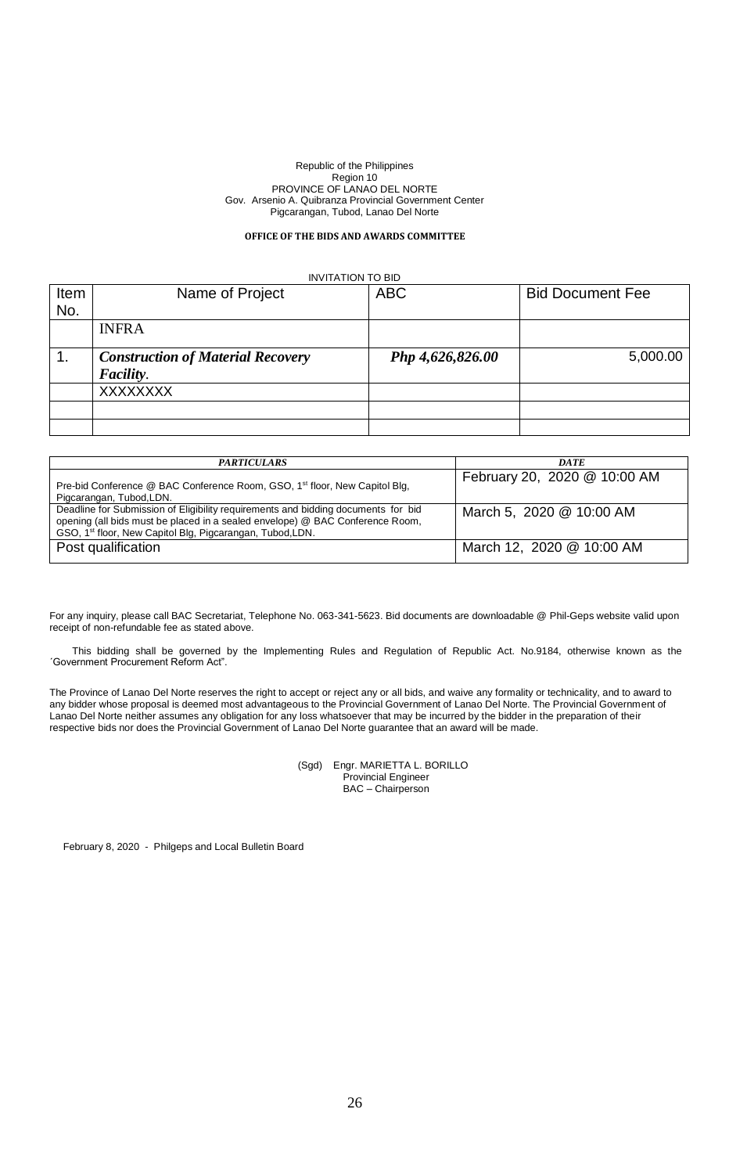## **OFFICE OF THE BIDS AND AWARDS COMMITTEE**

| <b>INVITATION TO BID</b> |                                          |                  |                         |  |  |  |
|--------------------------|------------------------------------------|------------------|-------------------------|--|--|--|
| Item                     | Name of Project                          | <b>ABC</b>       | <b>Bid Document Fee</b> |  |  |  |
| No.                      |                                          |                  |                         |  |  |  |
|                          | <b>INFRA</b>                             |                  |                         |  |  |  |
| $\mathbf 1$ .            | <b>Construction of Material Recovery</b> | Php 4,626,826.00 | 5,000.00                |  |  |  |
|                          | Facility.                                |                  |                         |  |  |  |
|                          | <b>XXXXXXXX</b>                          |                  |                         |  |  |  |
|                          |                                          |                  |                         |  |  |  |
|                          |                                          |                  |                         |  |  |  |

| <b>PARTICULARS</b>                                                                                                                                                                                                                          | <b>DATE</b>                  |
|---------------------------------------------------------------------------------------------------------------------------------------------------------------------------------------------------------------------------------------------|------------------------------|
| Pre-bid Conference @ BAC Conference Room, GSO, 1 <sup>st</sup> floor, New Capitol Blg,<br>Pigcarangan, Tubod, LDN.                                                                                                                          | February 20, 2020 @ 10:00 AM |
| Deadline for Submission of Eligibility requirements and bidding documents for bid<br>opening (all bids must be placed in a sealed envelope) @ BAC Conference Room,<br>GSO, 1 <sup>st</sup> floor, New Capitol Blg, Pigcarangan, Tubod, LDN. | March 5, 2020 @ 10:00 AM     |
| Post qualification                                                                                                                                                                                                                          | March 12, 2020 @ 10:00 AM    |

For any inquiry, please call BAC Secretariat, Telephone No. 063-341-5623. Bid documents are downloadable @ Phil-Geps website valid upon receipt of non-refundable fee as stated above.

This bidding shall be governed by the Implementing Rules and Regulation of Republic Act. No.9184, otherwise known as the ´Government Procurement Reform Act".

The Province of Lanao Del Norte reserves the right to accept or reject any or all bids, and waive any formality or technicality, and to award to any bidder whose proposal is deemed most advantageous to the Provincial Government of Lanao Del Norte. The Provincial Government of Lanao Del Norte neither assumes any obligation for any loss whatsoever that may be incurred by the bidder in the preparation of their respective bids nor does the Provincial Government of Lanao Del Norte guarantee that an award will be made.

> (Sgd) Engr. MARIETTA L. BORILLO Provincial Engineer BAC – Chairperson

February 8, 2020 - Philgeps and Local Bulletin Board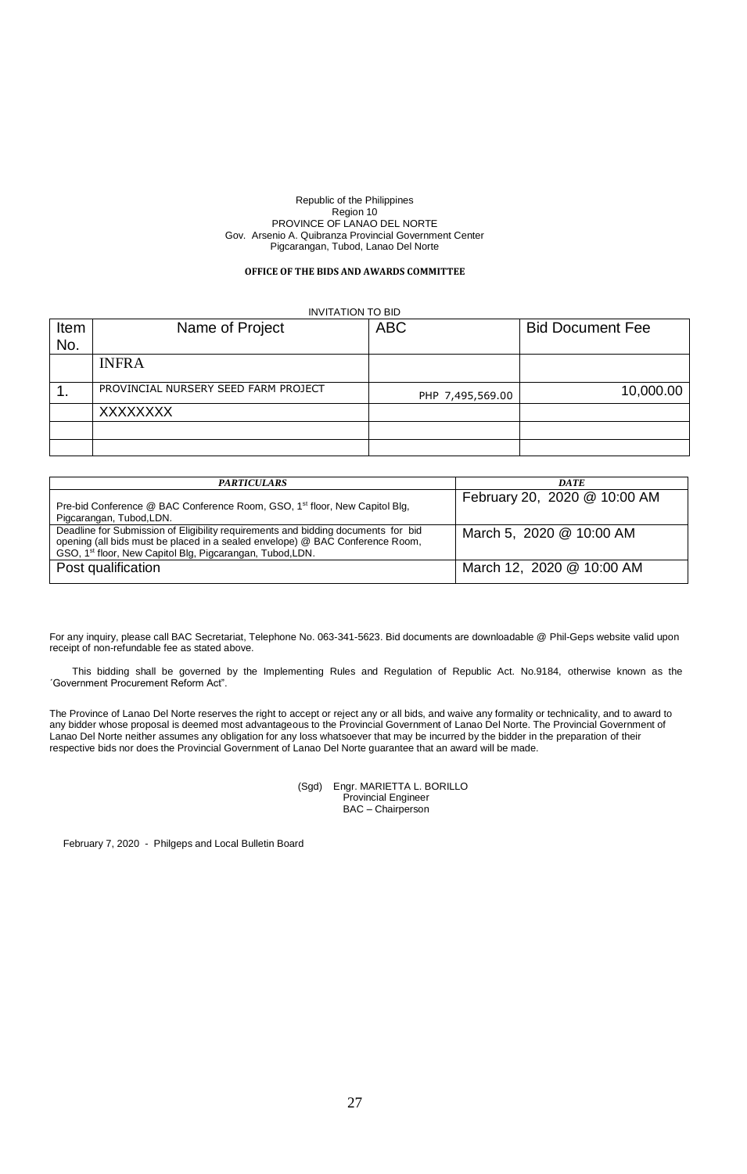## **OFFICE OF THE BIDS AND AWARDS COMMITTEE**

## INVITATION TO BID

| Item | Name of Project                      | <b>ABC</b>       | <b>Bid Document Fee</b> |
|------|--------------------------------------|------------------|-------------------------|
| No.  |                                      |                  |                         |
|      | <b>INFRA</b>                         |                  |                         |
|      | PROVINCIAL NURSERY SEED FARM PROJECT | PHP 7,495,569.00 | 10,000.00               |
|      | <b>XXXXXXXX</b>                      |                  |                         |
|      |                                      |                  |                         |
|      |                                      |                  |                         |

| <b>PARTICULARS</b>                                                                                                                                                                                                                          | <b>DATE</b>                  |
|---------------------------------------------------------------------------------------------------------------------------------------------------------------------------------------------------------------------------------------------|------------------------------|
| Pre-bid Conference @ BAC Conference Room, GSO, 1 <sup>st</sup> floor, New Capitol Blg,<br>Pigcarangan, Tubod, LDN.                                                                                                                          | February 20, 2020 @ 10:00 AM |
| Deadline for Submission of Eligibility requirements and bidding documents for bid<br>opening (all bids must be placed in a sealed envelope) @ BAC Conference Room,<br>GSO, 1 <sup>st</sup> floor, New Capitol Blg, Pigcarangan, Tubod, LDN. | March 5, 2020 @ 10:00 AM     |
| Post qualification                                                                                                                                                                                                                          | March 12, 2020 @ 10:00 AM    |

For any inquiry, please call BAC Secretariat, Telephone No. 063-341-5623. Bid documents are downloadable @ Phil-Geps website valid upon receipt of non-refundable fee as stated above.

This bidding shall be governed by the Implementing Rules and Regulation of Republic Act. No.9184, otherwise known as the ´Government Procurement Reform Act".

The Province of Lanao Del Norte reserves the right to accept or reject any or all bids, and waive any formality or technicality, and to award to any bidder whose proposal is deemed most advantageous to the Provincial Government of Lanao Del Norte. The Provincial Government of Lanao Del Norte neither assumes any obligation for any loss whatsoever that may be incurred by the bidder in the preparation of their respective bids nor does the Provincial Government of Lanao Del Norte guarantee that an award will be made.

> (Sgd) Engr. MARIETTA L. BORILLO Provincial Engineer BAC – Chairperson

February 7, 2020 - Philgeps and Local Bulletin Board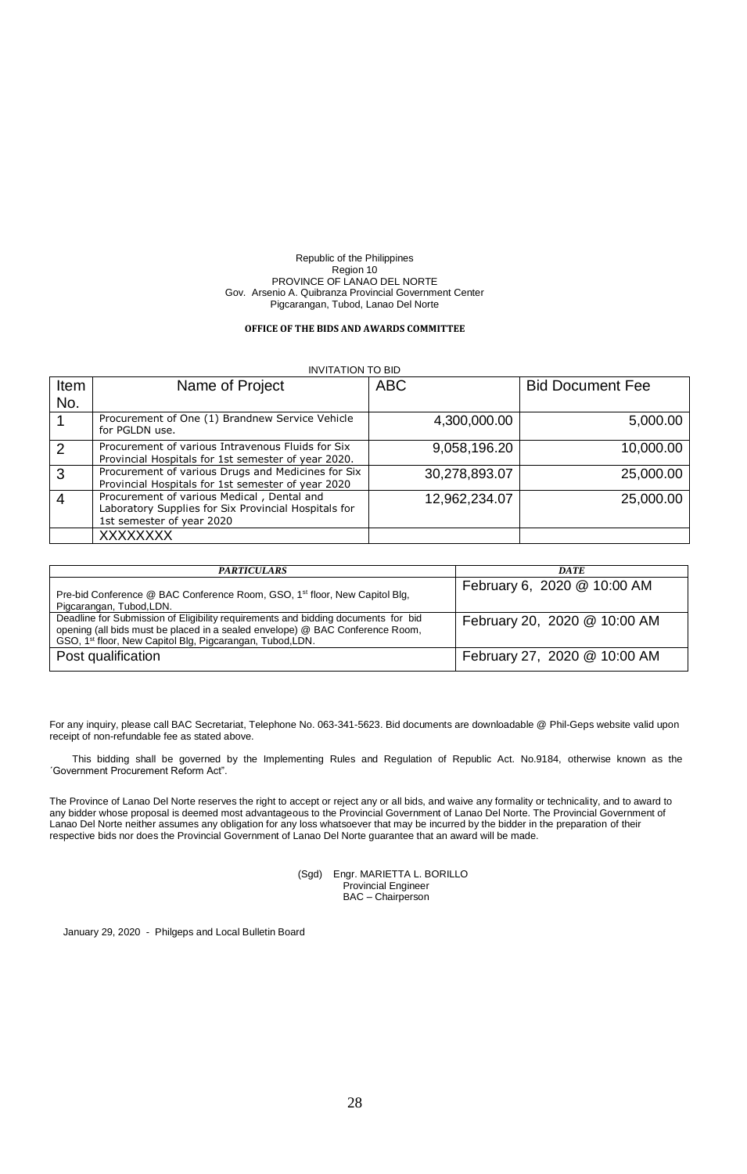### **OFFICE OF THE BIDS AND AWARDS COMMITTEE**

#### INVITATION TO BID

| Item           | Name of Project                                                                                                                 | <b>ABC</b>    | <b>Bid Document Fee</b> |
|----------------|---------------------------------------------------------------------------------------------------------------------------------|---------------|-------------------------|
| No.            |                                                                                                                                 |               |                         |
|                | Procurement of One (1) Brandnew Service Vehicle<br>for PGLDN use.                                                               | 4,300,000.00  | 5,000.00                |
| 2              | Procurement of various Intravenous Fluids for Six<br>Provincial Hospitals for 1st semester of year 2020.                        | 9,058,196.20  | 10,000.00               |
| 3              | Procurement of various Drugs and Medicines for Six<br>Provincial Hospitals for 1st semester of year 2020                        | 30,278,893.07 | 25,000.00               |
| $\overline{4}$ | Procurement of various Medical, Dental and<br>Laboratory Supplies for Six Provincial Hospitals for<br>1st semester of year 2020 | 12,962,234.07 | 25,000.00               |
|                | <b>XXXXXXXX</b>                                                                                                                 |               |                         |

| <b>PARTICULARS</b>                                                                                                                                                                                                                          | <b>DATE</b>                  |
|---------------------------------------------------------------------------------------------------------------------------------------------------------------------------------------------------------------------------------------------|------------------------------|
| Pre-bid Conference @ BAC Conference Room, GSO, 1 <sup>st</sup> floor, New Capitol Blg,<br>Pigcarangan, Tubod, LDN.                                                                                                                          | February 6, 2020 @ 10:00 AM  |
| Deadline for Submission of Eligibility requirements and bidding documents for bid<br>opening (all bids must be placed in a sealed envelope) @ BAC Conference Room,<br>GSO, 1 <sup>st</sup> floor, New Capitol Blg, Pigcarangan, Tubod, LDN. | February 20, 2020 @ 10:00 AM |
| Post qualification                                                                                                                                                                                                                          | February 27, 2020 @ 10:00 AM |

For any inquiry, please call BAC Secretariat, Telephone No. 063-341-5623. Bid documents are downloadable @ Phil-Geps website valid upon receipt of non-refundable fee as stated above.

This bidding shall be governed by the Implementing Rules and Regulation of Republic Act. No.9184, otherwise known as the ´Government Procurement Reform Act".

The Province of Lanao Del Norte reserves the right to accept or reject any or all bids, and waive any formality or technicality, and to award to any bidder whose proposal is deemed most advantageous to the Provincial Government of Lanao Del Norte. The Provincial Government of Lanao Del Norte neither assumes any obligation for any loss whatsoever that may be incurred by the bidder in the preparation of their respective bids nor does the Provincial Government of Lanao Del Norte guarantee that an award will be made.

> (Sgd) Engr. MARIETTA L. BORILLO Provincial Engineer BAC – Chairperson

January 29, 2020 - Philgeps and Local Bulletin Board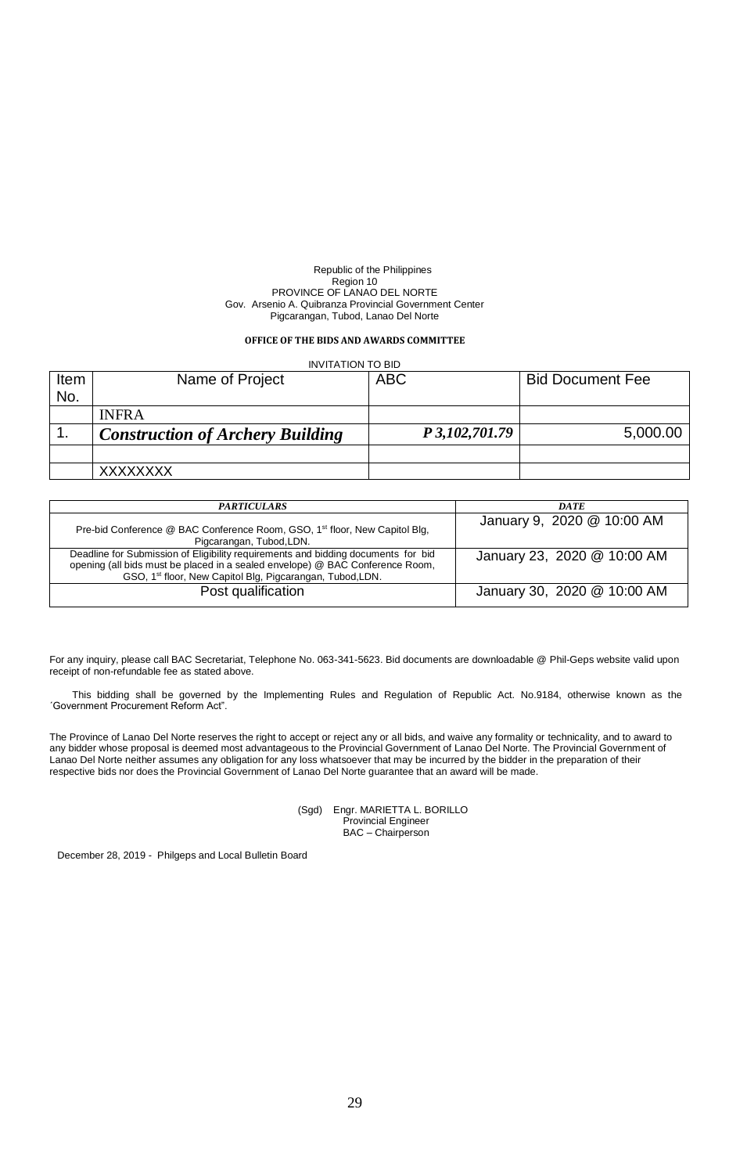## **OFFICE OF THE BIDS AND AWARDS COMMITTEE**

| <b>INVITATION TO BID</b> |                                         |            |                  |                         |
|--------------------------|-----------------------------------------|------------|------------------|-------------------------|
| Item                     | Name of Project                         | <b>ABC</b> |                  | <b>Bid Document Fee</b> |
| No.                      |                                         |            |                  |                         |
|                          | <b>INFRA</b>                            |            |                  |                         |
|                          | <b>Construction of Archery Building</b> |            | P 3, 102, 701.79 | 5,000.00                |
|                          |                                         |            |                  |                         |
|                          | <b>XXXXXXXX</b>                         |            |                  |                         |

| <b>PARTICULARS</b>                                                                                                                                                                                                                          | <b>DATE</b>                 |
|---------------------------------------------------------------------------------------------------------------------------------------------------------------------------------------------------------------------------------------------|-----------------------------|
| Pre-bid Conference @ BAC Conference Room, GSO, 1 <sup>st</sup> floor, New Capitol Blg,<br>Pigcarangan, Tubod, LDN.                                                                                                                          | January 9, 2020 @ 10:00 AM  |
| Deadline for Submission of Eligibility requirements and bidding documents for bid<br>opening (all bids must be placed in a sealed envelope) @ BAC Conference Room,<br>GSO, 1 <sup>st</sup> floor, New Capitol Blg, Pigcarangan, Tubod, LDN. | January 23, 2020 @ 10:00 AM |
| Post qualification                                                                                                                                                                                                                          | January 30, 2020 @ 10:00 AM |

For any inquiry, please call BAC Secretariat, Telephone No. 063-341-5623. Bid documents are downloadable @ Phil-Geps website valid upon receipt of non-refundable fee as stated above.

This bidding shall be governed by the Implementing Rules and Regulation of Republic Act. No.9184, otherwise known as the ´Government Procurement Reform Act".

The Province of Lanao Del Norte reserves the right to accept or reject any or all bids, and waive any formality or technicality, and to award to any bidder whose proposal is deemed most advantageous to the Provincial Government of Lanao Del Norte. The Provincial Government of Lanao Del Norte neither assumes any obligation for any loss whatsoever that may be incurred by the bidder in the preparation of their respective bids nor does the Provincial Government of Lanao Del Norte guarantee that an award will be made.

> (Sgd) Engr. MARIETTA L. BORILLO Provincial Engineer BAC – Chairperson

December 28, 2019 - Philgeps and Local Bulletin Board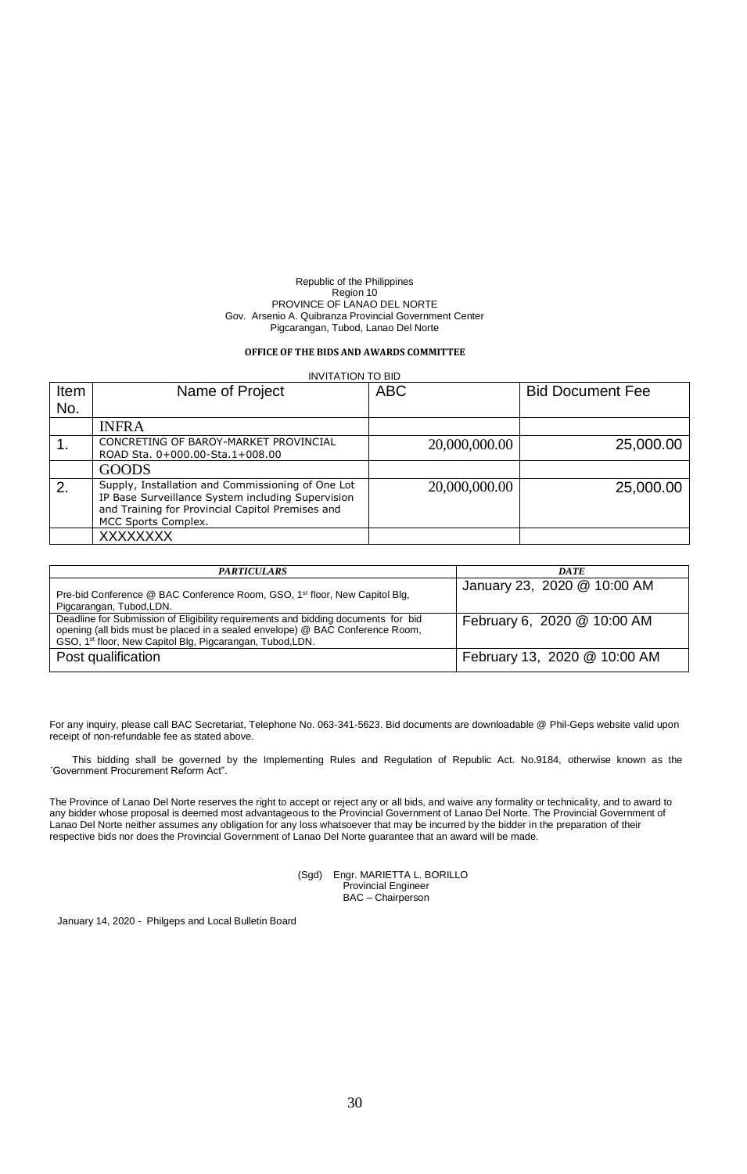### **OFFICE OF THE BIDS AND AWARDS COMMITTEE**

| <b>INVITATION TO BID</b> |                                                                                                                                                                                   |               |                         |
|--------------------------|-----------------------------------------------------------------------------------------------------------------------------------------------------------------------------------|---------------|-------------------------|
| Item                     | Name of Project                                                                                                                                                                   | <b>ABC</b>    | <b>Bid Document Fee</b> |
| No.                      |                                                                                                                                                                                   |               |                         |
|                          | <b>INFRA</b>                                                                                                                                                                      |               |                         |
|                          | CONCRETING OF BAROY-MARKET PROVINCIAL<br>ROAD Sta. 0+000.00-Sta.1+008.00                                                                                                          | 20,000,000.00 | 25,000.00               |
|                          | <b>GOODS</b>                                                                                                                                                                      |               |                         |
| 2.                       | Supply, Installation and Commissioning of One Lot<br>IP Base Surveillance System including Supervision<br>and Training for Provincial Capitol Premises and<br>MCC Sports Complex. | 20,000,000.00 | 25,000.00               |
|                          | <b>XXXXXXXX</b>                                                                                                                                                                   |               |                         |

| <b>PARTICULARS</b>                                                                                                                                                                                                                          | <b>DATE</b>                  |
|---------------------------------------------------------------------------------------------------------------------------------------------------------------------------------------------------------------------------------------------|------------------------------|
| Pre-bid Conference @ BAC Conference Room, GSO, 1 <sup>st</sup> floor, New Capitol Blg,<br>Pigcarangan, Tubod, LDN.                                                                                                                          | January 23, 2020 @ 10:00 AM  |
| Deadline for Submission of Eligibility requirements and bidding documents for bid<br>opening (all bids must be placed in a sealed envelope) @ BAC Conference Room,<br>GSO, 1 <sup>st</sup> floor, New Capitol Blg, Pigcarangan, Tubod, LDN. | February 6, 2020 @ 10:00 AM  |
| Post qualification                                                                                                                                                                                                                          | February 13, 2020 @ 10:00 AM |

For any inquiry, please call BAC Secretariat, Telephone No. 063-341-5623. Bid documents are downloadable @ Phil-Geps website valid upon receipt of non-refundable fee as stated above.

This bidding shall be governed by the Implementing Rules and Regulation of Republic Act. No.9184, otherwise known as the ´Government Procurement Reform Act".

The Province of Lanao Del Norte reserves the right to accept or reject any or all bids, and waive any formality or technicality, and to award to any bidder whose proposal is deemed most advantageous to the Provincial Government of Lanao Del Norte. The Provincial Government of Lanao Del Norte neither assumes any obligation for any loss whatsoever that may be incurred by the bidder in the preparation of their respective bids nor does the Provincial Government of Lanao Del Norte guarantee that an award will be made.

> (Sgd) Engr. MARIETTA L. BORILLO Provincial Engineer BAC – Chairperson

January 14, 2020 - Philgeps and Local Bulletin Board